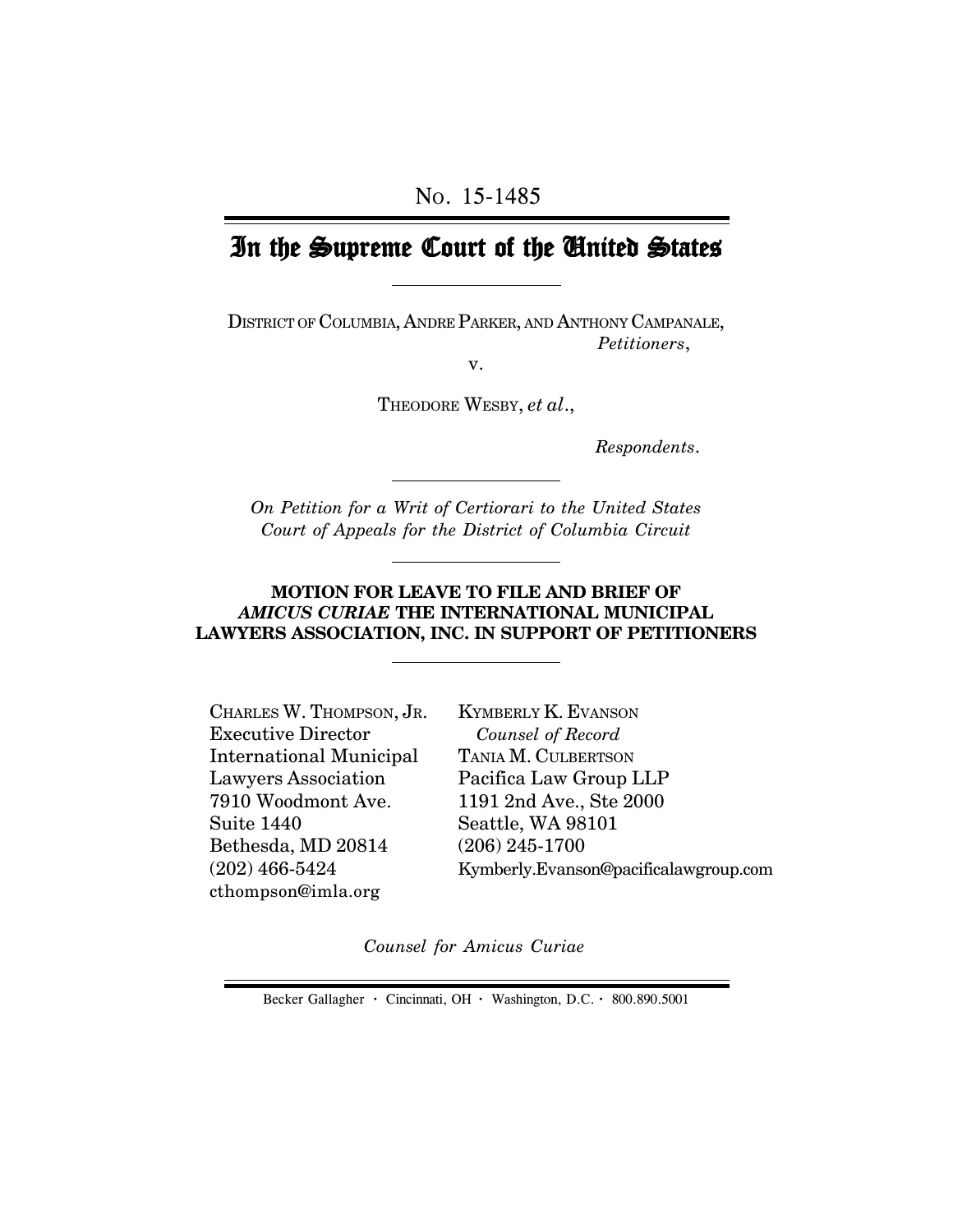# In the Supreme Court of the United States

DISTRICT OF COLUMBIA, ANDRE PARKER, AND ANTHONY CAMPANALE, *Petitioners*,

v.

THEODORE WESBY, *et al*.,

 *Respondents*.

*On Petition for a Writ of Certiorari to the United States Court of Appeals for the District of Columbia Circuit*

### **MOTION FOR LEAVE TO FILE AND BRIEF OF** *AMICUS CURIAE* **THE INTERNATIONAL MUNICIPAL LAWYERS ASSOCIATION, INC. IN SUPPORT OF PETITIONERS**

| CHARLES W. THOMPSON, JR.       | <b>KYMBEI</b> |
|--------------------------------|---------------|
| <b>Executive Director</b>      | Coun          |
| <b>International Municipal</b> | TANIA N       |
| Lawyers Association            | Pacifica      |
| 7910 Woodmont Ave.             | 1191 21       |
| Suite 1440                     | Seattle       |
| Bethesda, MD 20814             | $(206)$ 2     |
| $(202)$ 466-5424               | Kymber        |
| cthompson@imla.org             |               |

rly **K. E**vanson *Counsel of Record* **M. CULBERTSON** a Law Group LLP nd Ave., Ste 2000 e, WA 98101 (206) 245-1700 ty.Evanson@pacificalawgroup.com

*Counsel for Amicus Curiae*

Becker Gallagher **·** Cincinnati, OH **·** Washington, D.C. **·** 800.890.5001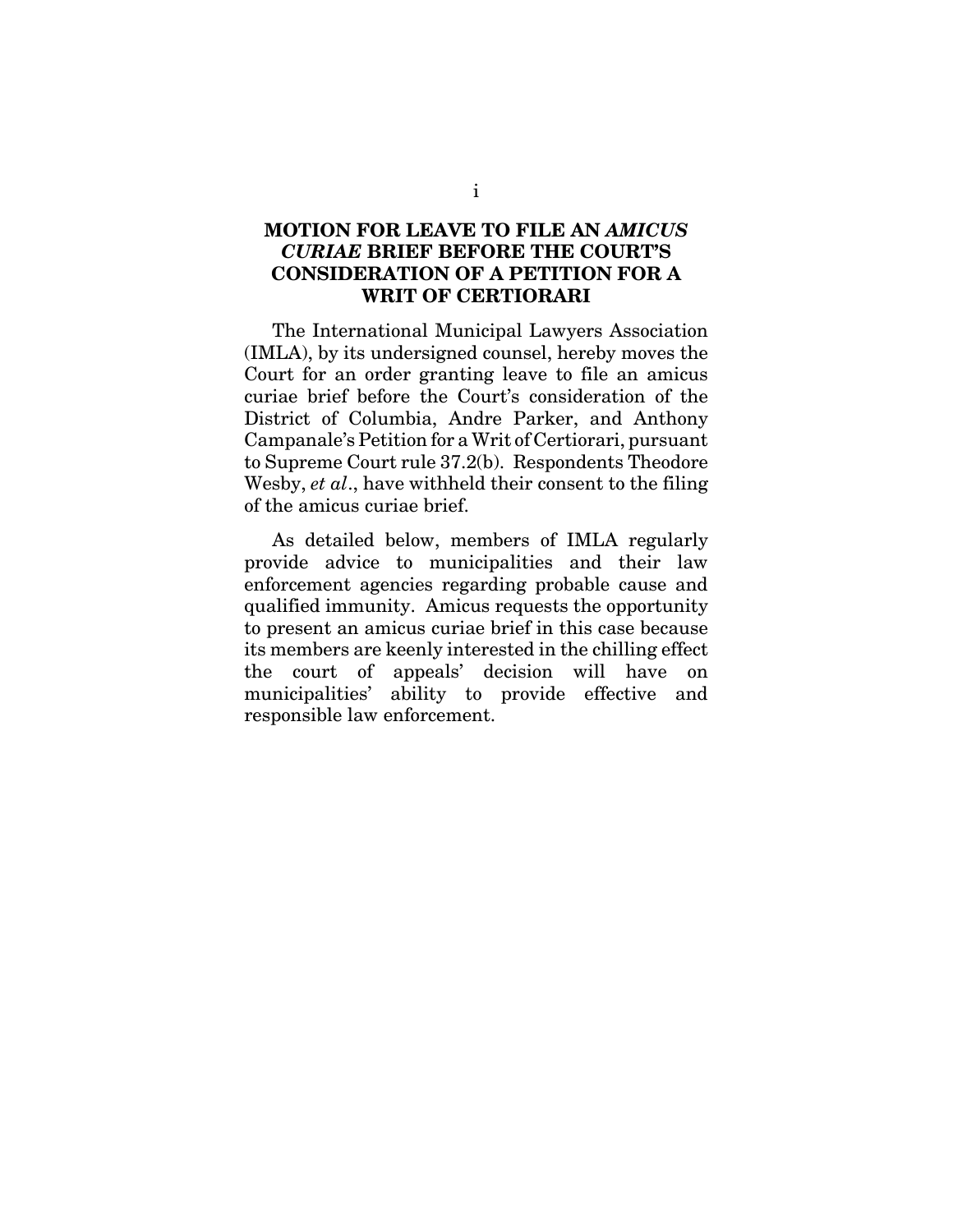# **MOTION FOR LEAVE TO FILE AN** *AMICUS CURIAE* **BRIEF BEFORE THE COURT'S CONSIDERATION OF A PETITION FOR A WRIT OF CERTIORARI**

The International Municipal Lawyers Association (IMLA), by its undersigned counsel, hereby moves the Court for an order granting leave to file an amicus curiae brief before the Court's consideration of the District of Columbia, Andre Parker, and Anthony Campanale's Petition for a Writ of Certiorari, pursuant to Supreme Court rule 37.2(b). Respondents Theodore Wesby, *et al*., have withheld their consent to the filing of the amicus curiae brief.

As detailed below, members of IMLA regularly provide advice to municipalities and their law enforcement agencies regarding probable cause and qualified immunity. Amicus requests the opportunity to present an amicus curiae brief in this case because its members are keenly interested in the chilling effect the court of appeals' decision will have on municipalities' ability to provide effective and responsible law enforcement.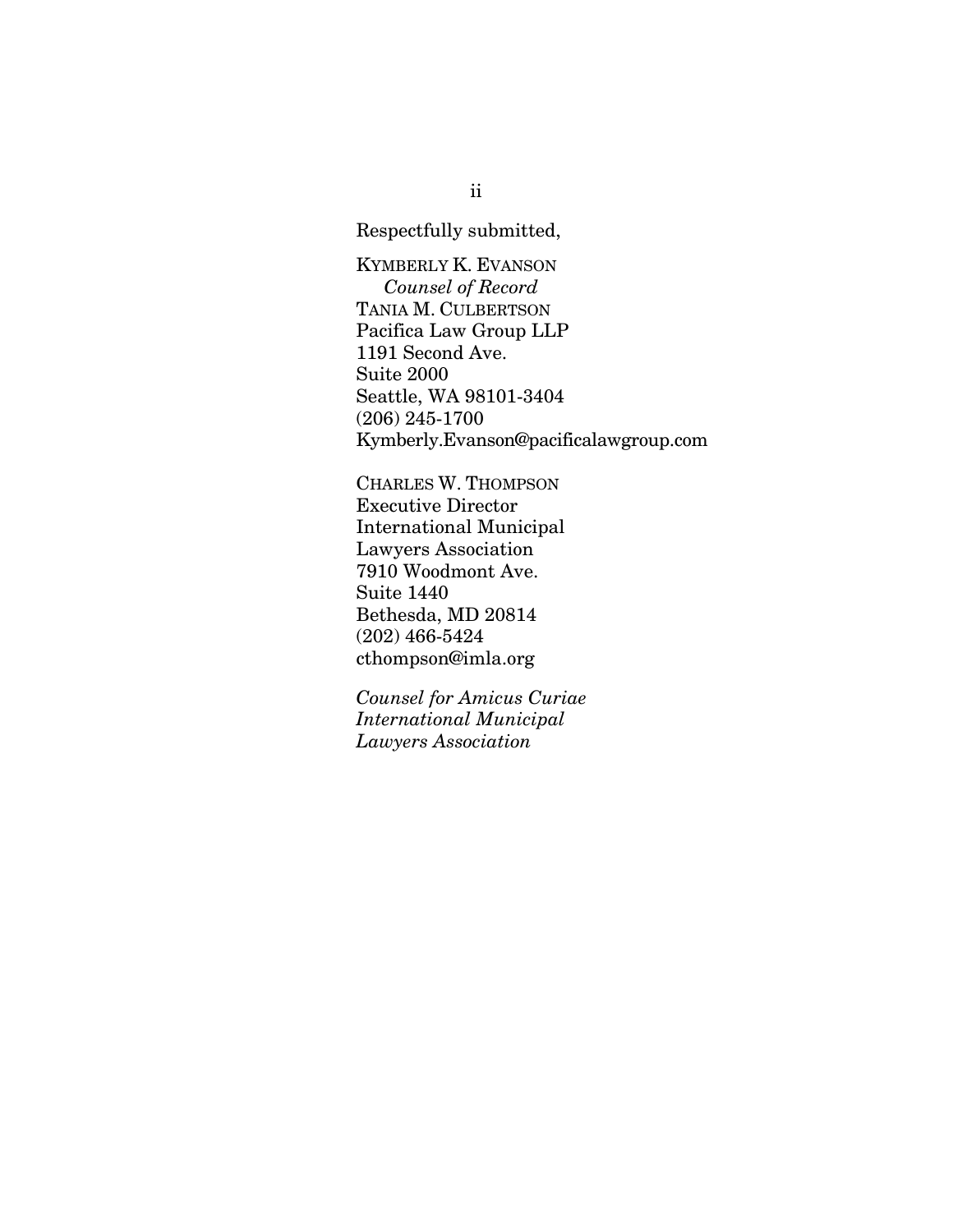Respectfully submitted,

KYMBERLY K. EVANSON *Counsel of Record* TANIA M. CULBERTSON Pacifica Law Group LLP 1191 Second Ave. Suite 2000 Seattle, WA 98101-3404 (206) 245-1700 Kymberly.Evanson@pacificalawgroup.com

CHARLES W. THOMPSON Executive Director International Municipal Lawyers Association 7910 Woodmont Ave. Suite 1440 Bethesda, MD 20814 (202) 466-5424 cthompson@imla.org

*Counsel for Amicus Curiae International Municipal Lawyers Association*

ii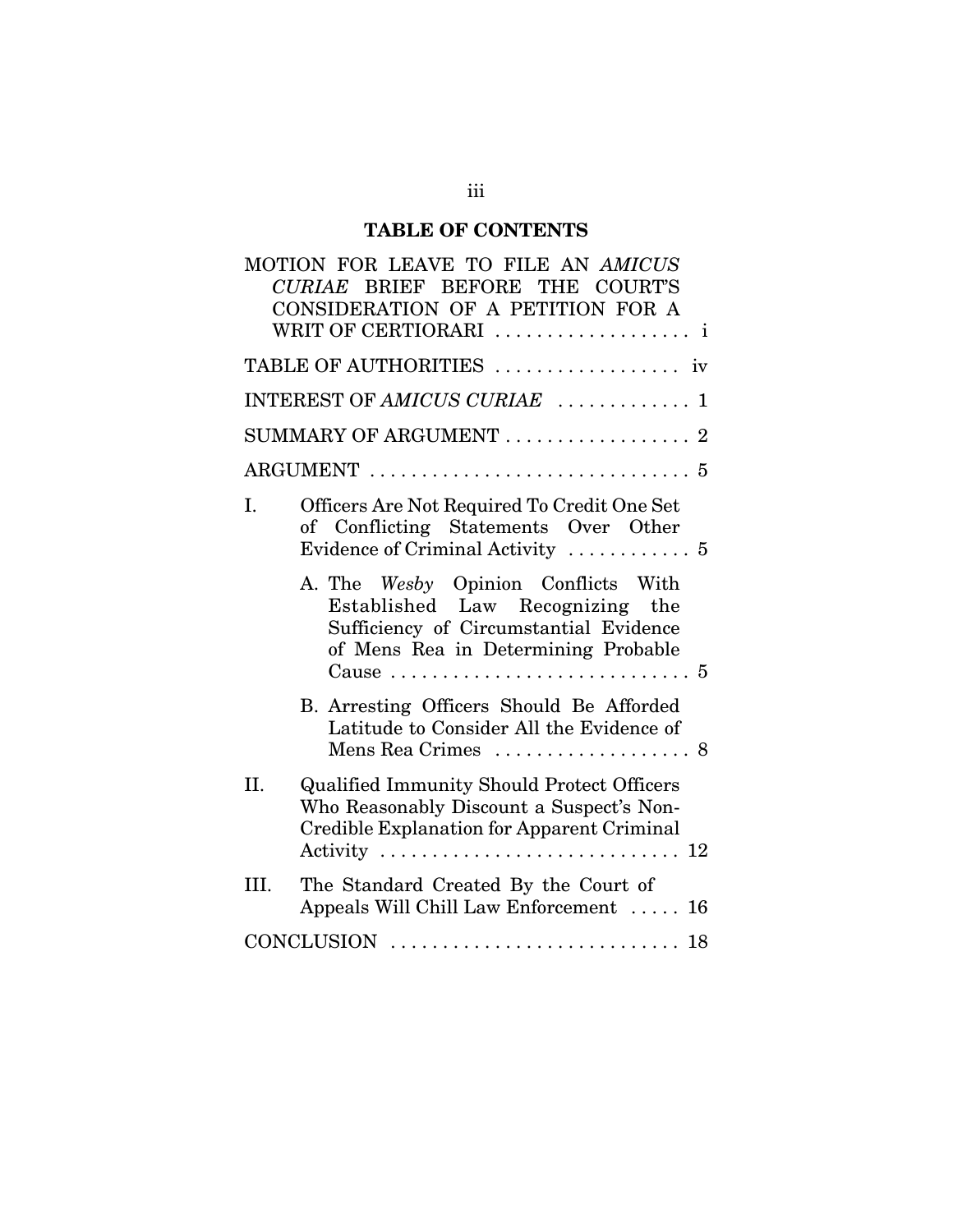# **TABLE OF CONTENTS**

| MOTION FOR LEAVE TO FILE AN AMICUS<br>CURIAE BRIEF BEFORE THE COURT'S<br>CONSIDERATION OF A PETITION FOR A                                                                                                                   |
|------------------------------------------------------------------------------------------------------------------------------------------------------------------------------------------------------------------------------|
| WRIT OF CERTIORARI  i                                                                                                                                                                                                        |
| TABLE OF AUTHORITIES  iv                                                                                                                                                                                                     |
| INTEREST OF AMICUS CURIAE  1                                                                                                                                                                                                 |
| SUMMARY OF ARGUMENT  2                                                                                                                                                                                                       |
|                                                                                                                                                                                                                              |
| Officers Are Not Required To Credit One Set<br>I.<br>of Conflicting Statements Over Other<br>Evidence of Criminal Activity $\dots\dots\dots\dots$ 5                                                                          |
| A. The Wesby Opinion Conflicts With<br>Established Law Recognizing the<br>Sufficiency of Circumstantial Evidence<br>of Mens Rea in Determining Probable<br>Cause $\ldots \ldots \ldots \ldots \ldots \ldots \ldots \ldots 5$ |
| B. Arresting Officers Should Be Afforded<br>Latitude to Consider All the Evidence of                                                                                                                                         |
| II.<br><b>Qualified Immunity Should Protect Officers</b><br>Who Reasonably Discount a Suspect's Non-<br>Credible Explanation for Apparent Criminal                                                                           |
| The Standard Created By the Court of<br>III.<br>Appeals Will Chill Law Enforcement<br>16                                                                                                                                     |
|                                                                                                                                                                                                                              |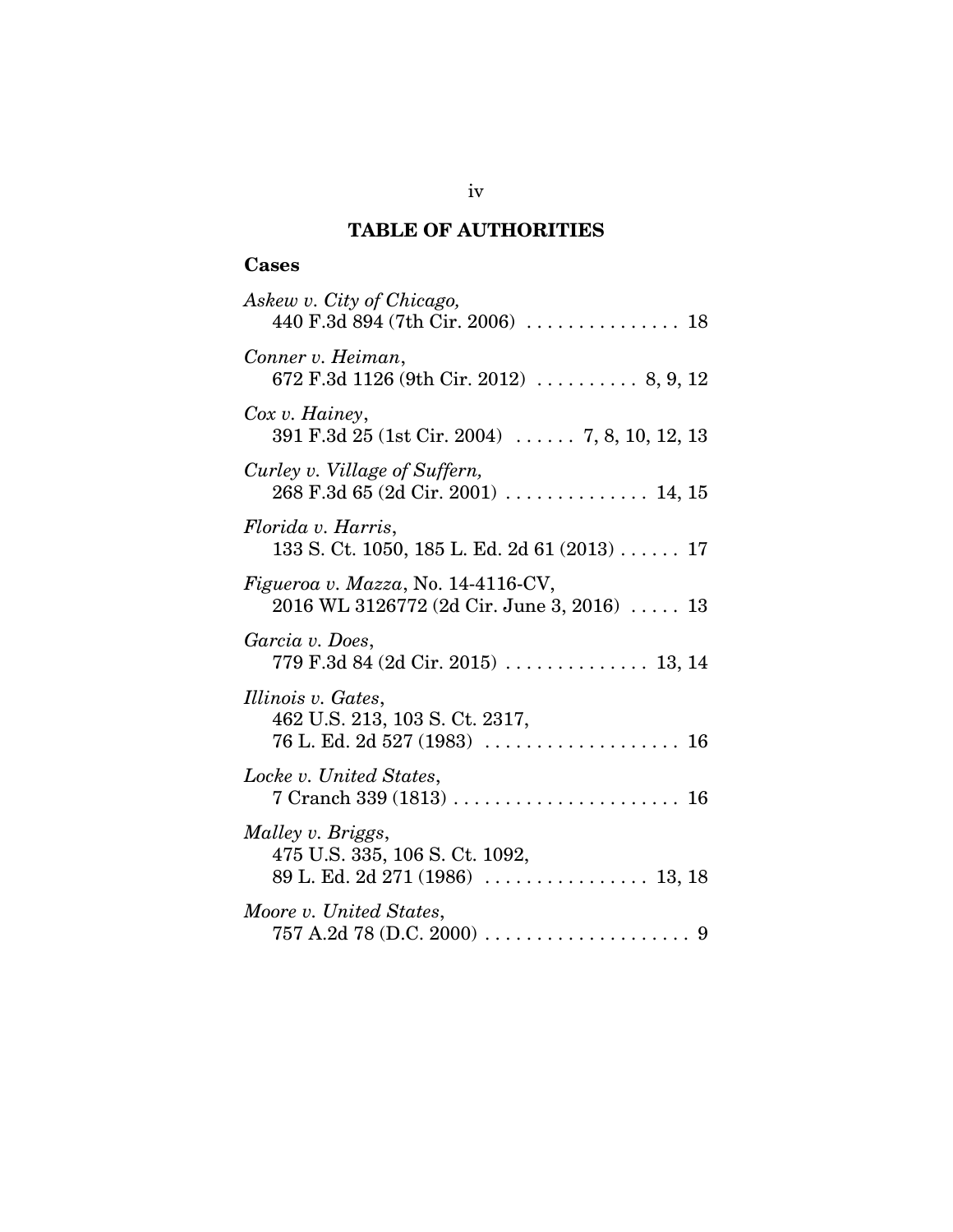# **TABLE OF AUTHORITIES**

# **Cases**

| Askew v. City of Chicago,<br>440 F.3d 894 (7th Cir. 2006) $\ldots \ldots \ldots \ldots \ldots$ 18        |
|----------------------------------------------------------------------------------------------------------|
| Conner v. Heiman,<br>672 F.3d 1126 (9th Cir. 2012)  8, 9, 12                                             |
| Cox v. Hainey,<br>391 F.3d 25 (1st Cir. 2004)  7, 8, 10, 12, 13                                          |
| Curley v. Village of Suffern,<br>$268$ F.3d 65 (2d Cir. 2001) 14, 15                                     |
| Florida v. Harris,<br>133 S. Ct. 1050, 185 L. Ed. 2d 61 (2013) $\ldots$ 17                               |
| Figueroa v. Mazza, No. 14-4116-CV,<br>$2016 \text{ WL } 3126772 \text{ (2d Cir. June 3, 2016)} \dots$ 13 |
| Garcia v. Does,                                                                                          |
| Illinois v. Gates,<br>462 U.S. 213, 103 S. Ct. 2317,                                                     |
| Locke v. United States,                                                                                  |
| Malley v. Briggs,<br>475 U.S. 335, 106 S. Ct. 1092,                                                      |
| Moore v. United States,                                                                                  |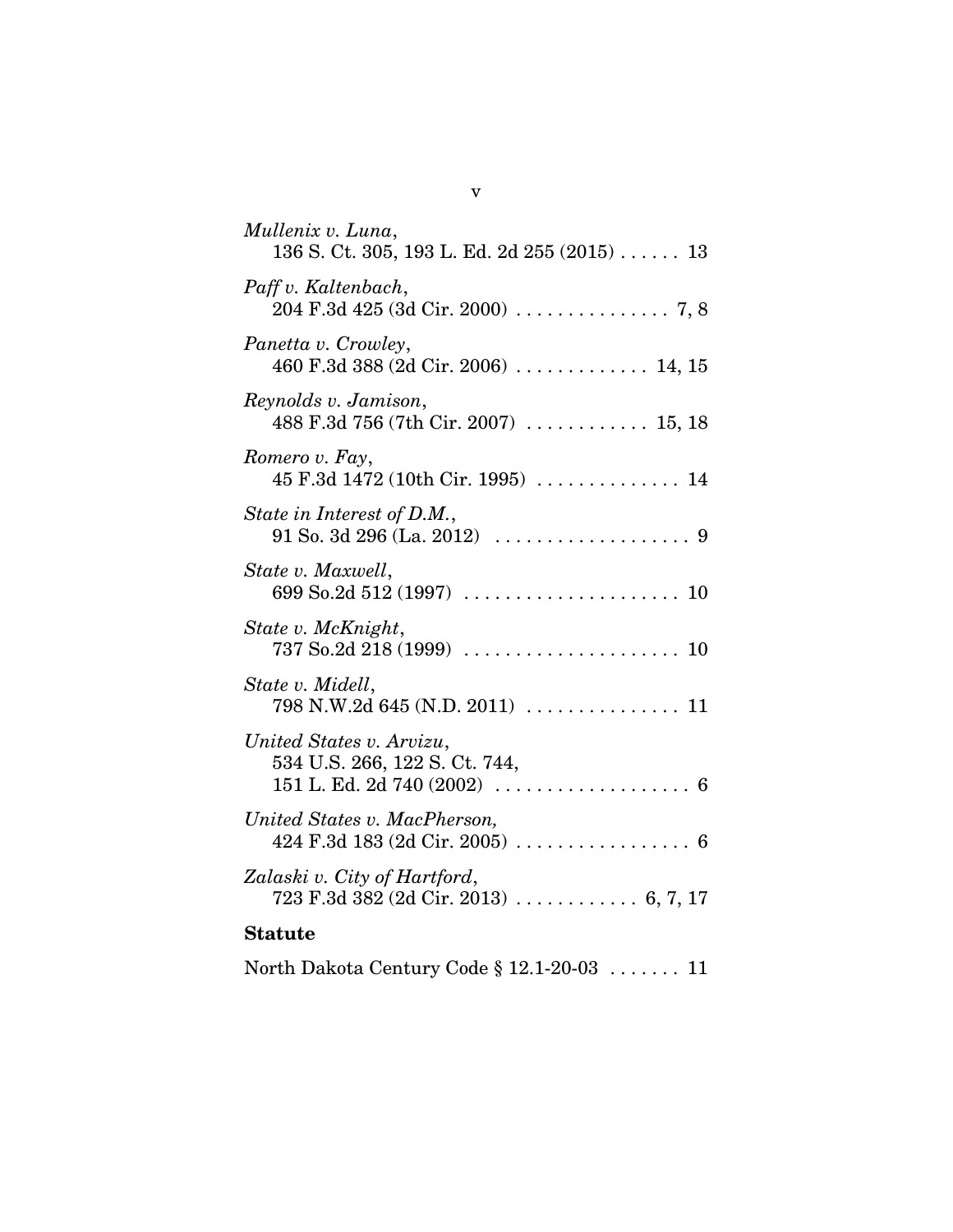| Mullenix v. Luna,<br>136 S. Ct. 305, 193 L. Ed. 2d $255(2015)$ 13                                                                   |
|-------------------------------------------------------------------------------------------------------------------------------------|
| Paff v. Kaltenbach,                                                                                                                 |
| Panetta v. Crowley,<br>460 F.3d 388 (2d Cir. 2006)  14, 15                                                                          |
| Reynolds v. Jamison,<br>488 F.3d 756 (7th Cir. 2007)  15, 18                                                                        |
| Romero v. Fay,                                                                                                                      |
| State in Interest of D.M.,                                                                                                          |
| State v. Maxwell,                                                                                                                   |
| State v. McKnight,                                                                                                                  |
| State v. Midell,                                                                                                                    |
| United States v. Arvizu,<br>534 U.S. 266, 122 S. Ct. 744,<br>151 L. Ed. 2d 740 (2002) $\ldots \ldots \ldots \ldots \ldots \ldots 6$ |
| United States v. MacPherson,<br>424 F.3d 183 (2d Cir. 2005) 6                                                                       |
| Zalaski v. City of Hartford,                                                                                                        |
| <b>Statute</b>                                                                                                                      |

North Dakota Century Code § 12.1-20-03 . . . . . . . 11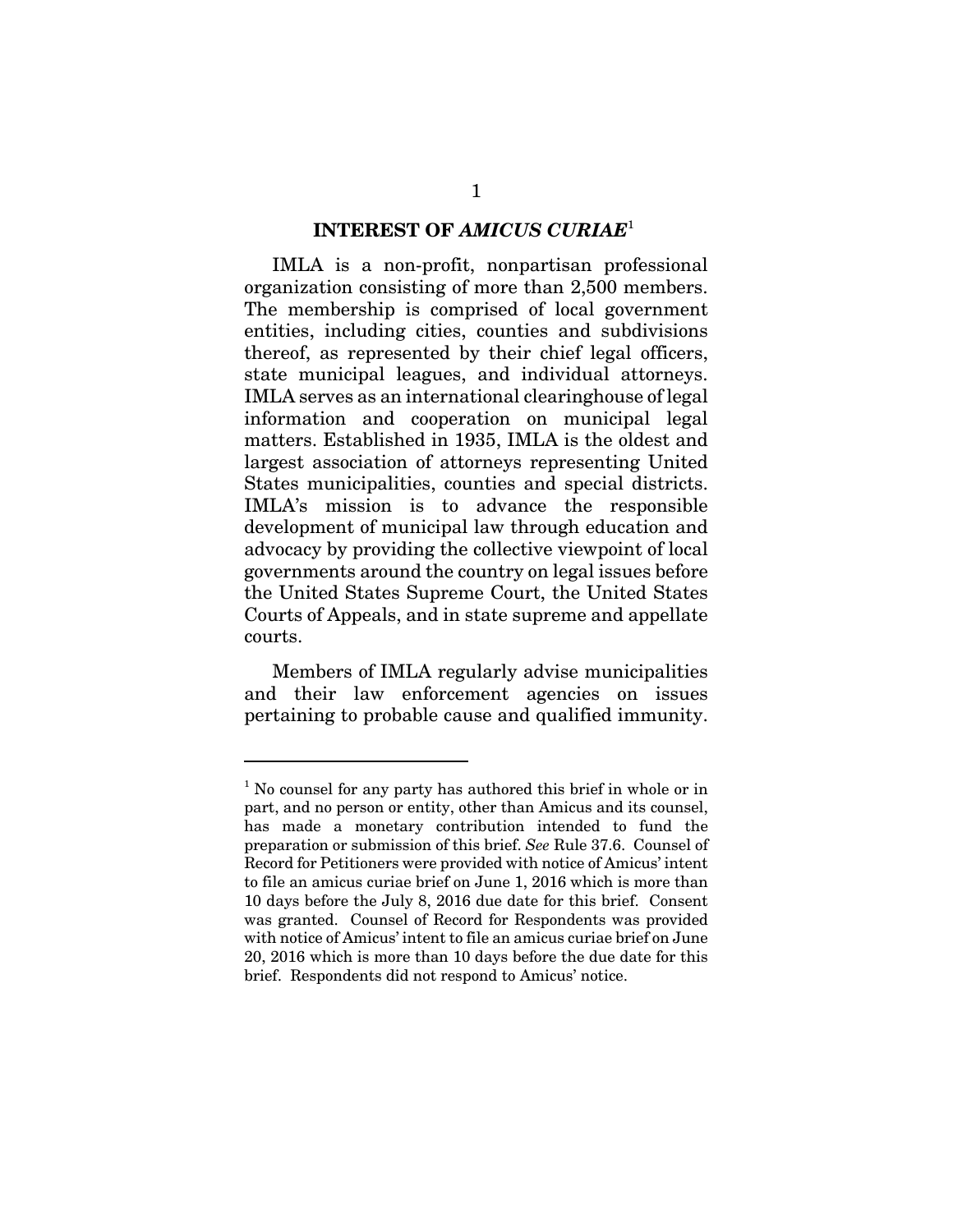#### **INTEREST OF** *AMICUS CURIAE*<sup>1</sup>

IMLA is a non-profit, nonpartisan professional organization consisting of more than 2,500 members. The membership is comprised of local government entities, including cities, counties and subdivisions thereof, as represented by their chief legal officers, state municipal leagues, and individual attorneys. IMLA serves as an international clearinghouse of legal information and cooperation on municipal legal matters. Established in 1935, IMLA is the oldest and largest association of attorneys representing United States municipalities, counties and special districts. IMLA's mission is to advance the responsible development of municipal law through education and advocacy by providing the collective viewpoint of local governments around the country on legal issues before the United States Supreme Court, the United States Courts of Appeals, and in state supreme and appellate courts.

Members of IMLA regularly advise municipalities and their law enforcement agencies on issues pertaining to probable cause and qualified immunity.

<sup>&</sup>lt;sup>1</sup> No counsel for any party has authored this brief in whole or in part, and no person or entity, other than Amicus and its counsel, has made a monetary contribution intended to fund the preparation or submission of this brief. *See* Rule 37.6. Counsel of Record for Petitioners were provided with notice of Amicus' intent to file an amicus curiae brief on June 1, 2016 which is more than 10 days before the July 8, 2016 due date for this brief. Consent was granted. Counsel of Record for Respondents was provided with notice of Amicus' intent to file an amicus curiae brief on June 20, 2016 which is more than 10 days before the due date for this brief. Respondents did not respond to Amicus' notice.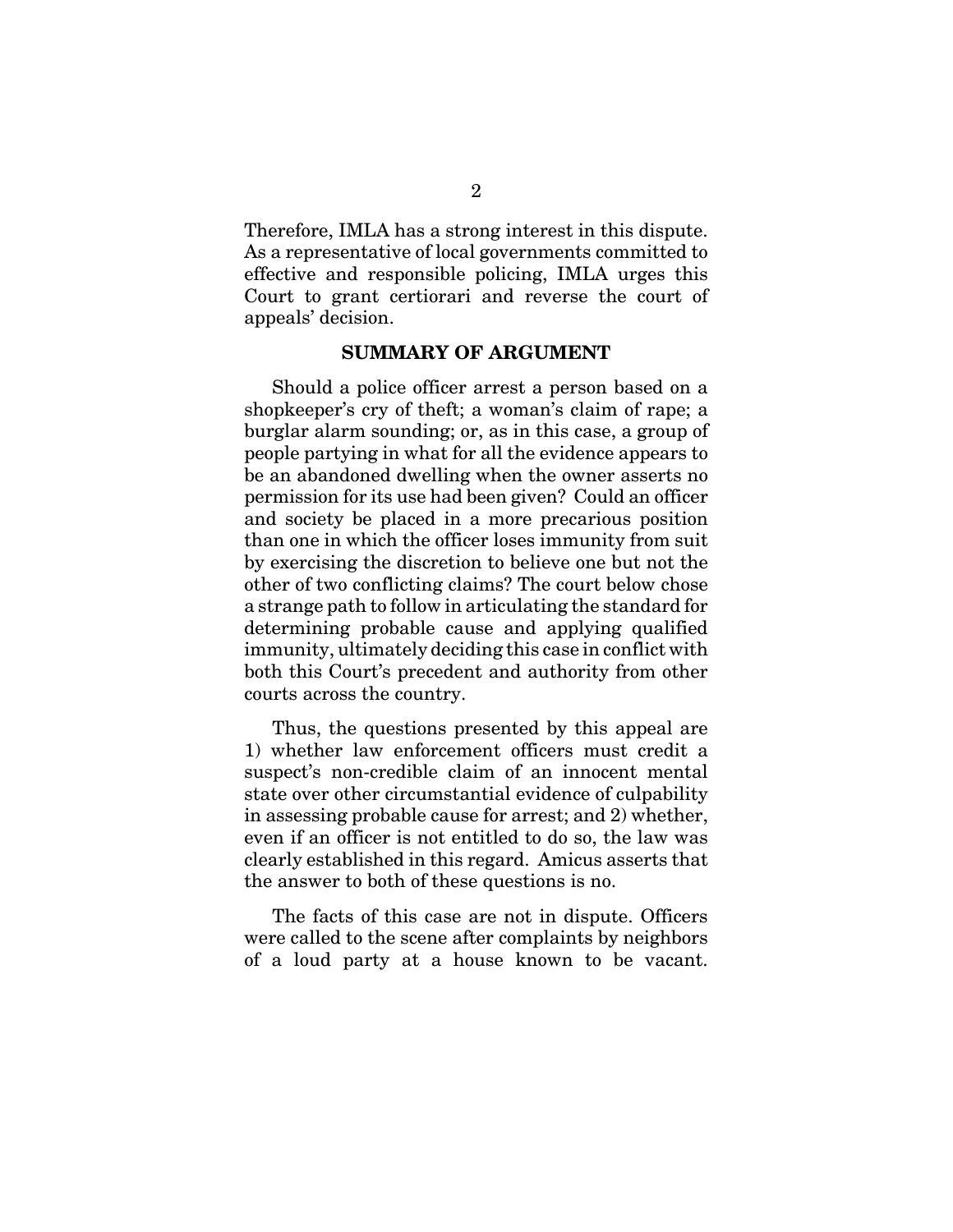Therefore, IMLA has a strong interest in this dispute. As a representative of local governments committed to effective and responsible policing, IMLA urges this Court to grant certiorari and reverse the court of appeals' decision.

#### **SUMMARY OF ARGUMENT**

Should a police officer arrest a person based on a shopkeeper's cry of theft; a woman's claim of rape; a burglar alarm sounding; or, as in this case, a group of people partying in what for all the evidence appears to be an abandoned dwelling when the owner asserts no permission for its use had been given? Could an officer and society be placed in a more precarious position than one in which the officer loses immunity from suit by exercising the discretion to believe one but not the other of two conflicting claims? The court below chose a strange path to follow in articulating the standard for determining probable cause and applying qualified immunity, ultimately deciding this case in conflict with both this Court's precedent and authority from other courts across the country.

Thus, the questions presented by this appeal are 1) whether law enforcement officers must credit a suspect's non-credible claim of an innocent mental state over other circumstantial evidence of culpability in assessing probable cause for arrest; and 2) whether, even if an officer is not entitled to do so, the law was clearly established in this regard. Amicus asserts that the answer to both of these questions is no.

The facts of this case are not in dispute. Officers were called to the scene after complaints by neighbors of a loud party at a house known to be vacant.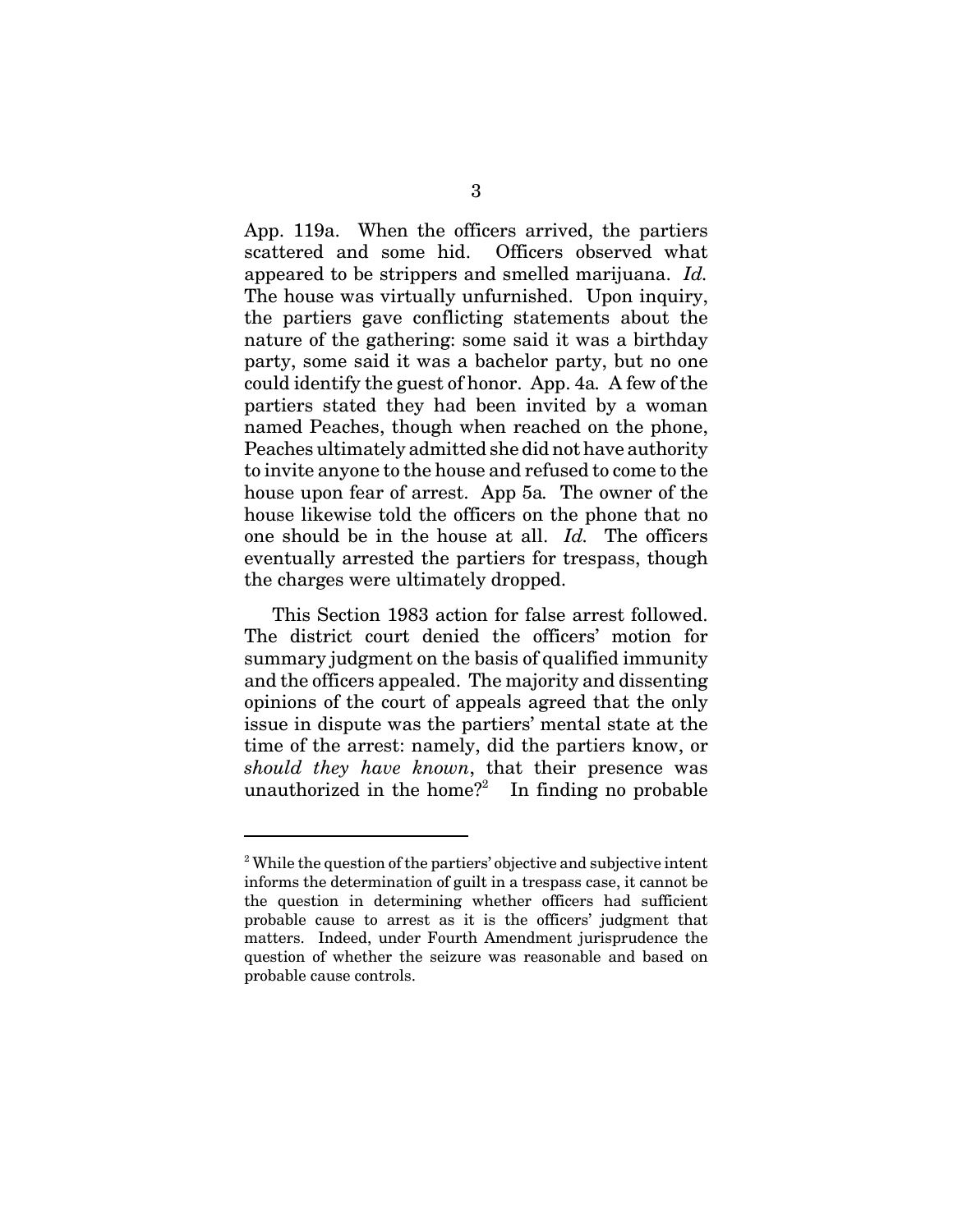App. 119a. When the officers arrived, the partiers scattered and some hid. Officers observed what appeared to be strippers and smelled marijuana. *Id.* The house was virtually unfurnished. Upon inquiry, the partiers gave conflicting statements about the nature of the gathering: some said it was a birthday party, some said it was a bachelor party, but no one could identify the guest of honor. App. 4a*.* A few of the partiers stated they had been invited by a woman named Peaches, though when reached on the phone, Peaches ultimately admitted she did not have authority to invite anyone to the house and refused to come to the house upon fear of arrest. App 5a*.* The owner of the house likewise told the officers on the phone that no one should be in the house at all. *Id.* The officers eventually arrested the partiers for trespass, though the charges were ultimately dropped.

This Section 1983 action for false arrest followed. The district court denied the officers' motion for summary judgment on the basis of qualified immunity and the officers appealed. The majority and dissenting opinions of the court of appeals agreed that the only issue in dispute was the partiers' mental state at the time of the arrest: namely, did the partiers know, or *should they have known*, that their presence was unauthorized in the home?<sup>2</sup> In finding no probable

<sup>&</sup>lt;sup>2</sup> While the question of the partiers' objective and subjective intent informs the determination of guilt in a trespass case, it cannot be the question in determining whether officers had sufficient probable cause to arrest as it is the officers' judgment that matters. Indeed, under Fourth Amendment jurisprudence the question of whether the seizure was reasonable and based on probable cause controls.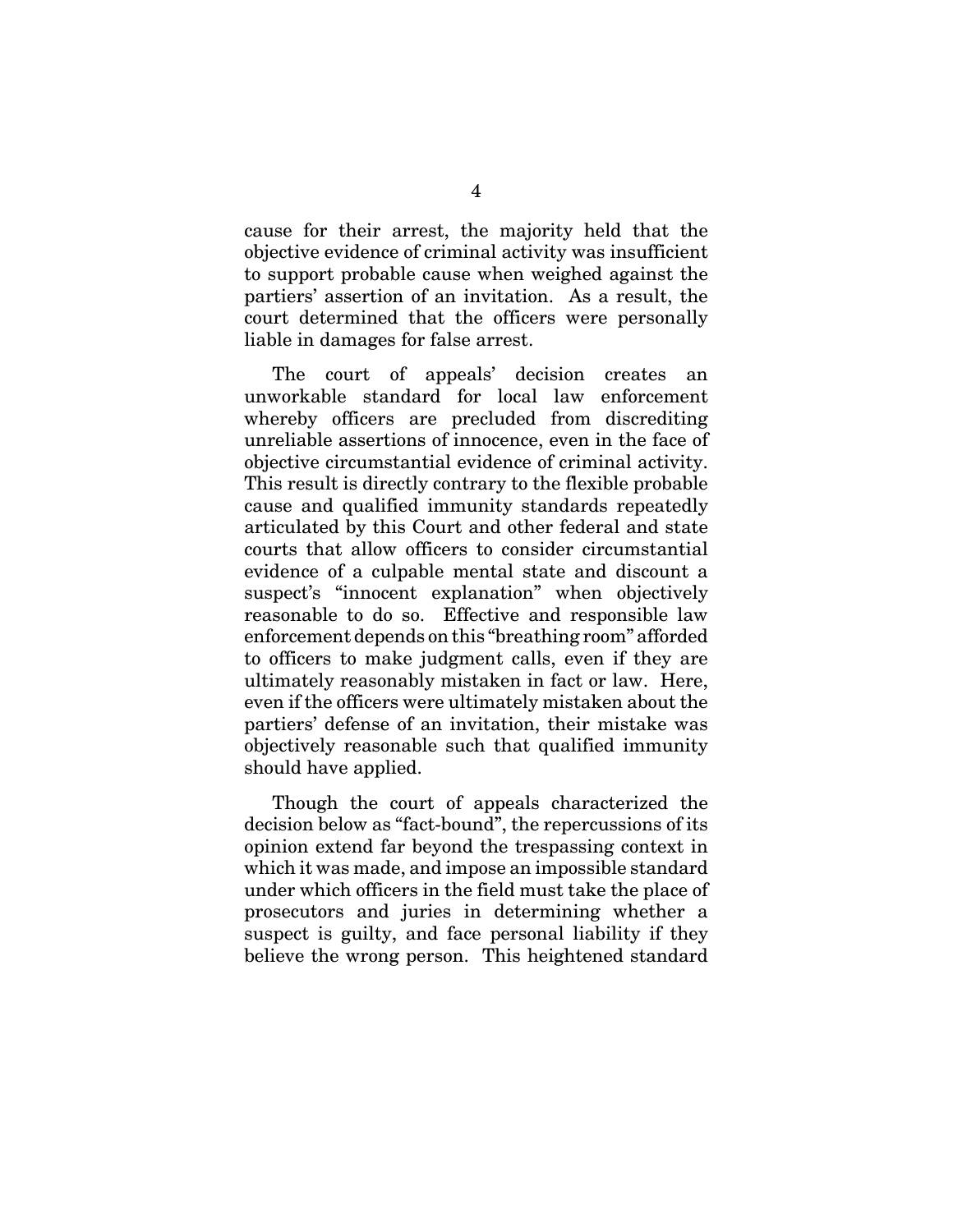cause for their arrest, the majority held that the objective evidence of criminal activity was insufficient to support probable cause when weighed against the partiers' assertion of an invitation. As a result, the court determined that the officers were personally liable in damages for false arrest.

The court of appeals' decision creates an unworkable standard for local law enforcement whereby officers are precluded from discrediting unreliable assertions of innocence, even in the face of objective circumstantial evidence of criminal activity. This result is directly contrary to the flexible probable cause and qualified immunity standards repeatedly articulated by this Court and other federal and state courts that allow officers to consider circumstantial evidence of a culpable mental state and discount a suspect's "innocent explanation" when objectively reasonable to do so. Effective and responsible law enforcement depends on this "breathing room" afforded to officers to make judgment calls, even if they are ultimately reasonably mistaken in fact or law. Here, even if the officers were ultimately mistaken about the partiers' defense of an invitation, their mistake was objectively reasonable such that qualified immunity should have applied.

Though the court of appeals characterized the decision below as "fact-bound", the repercussions of its opinion extend far beyond the trespassing context in which it was made, and impose an impossible standard under which officers in the field must take the place of prosecutors and juries in determining whether a suspect is guilty, and face personal liability if they believe the wrong person. This heightened standard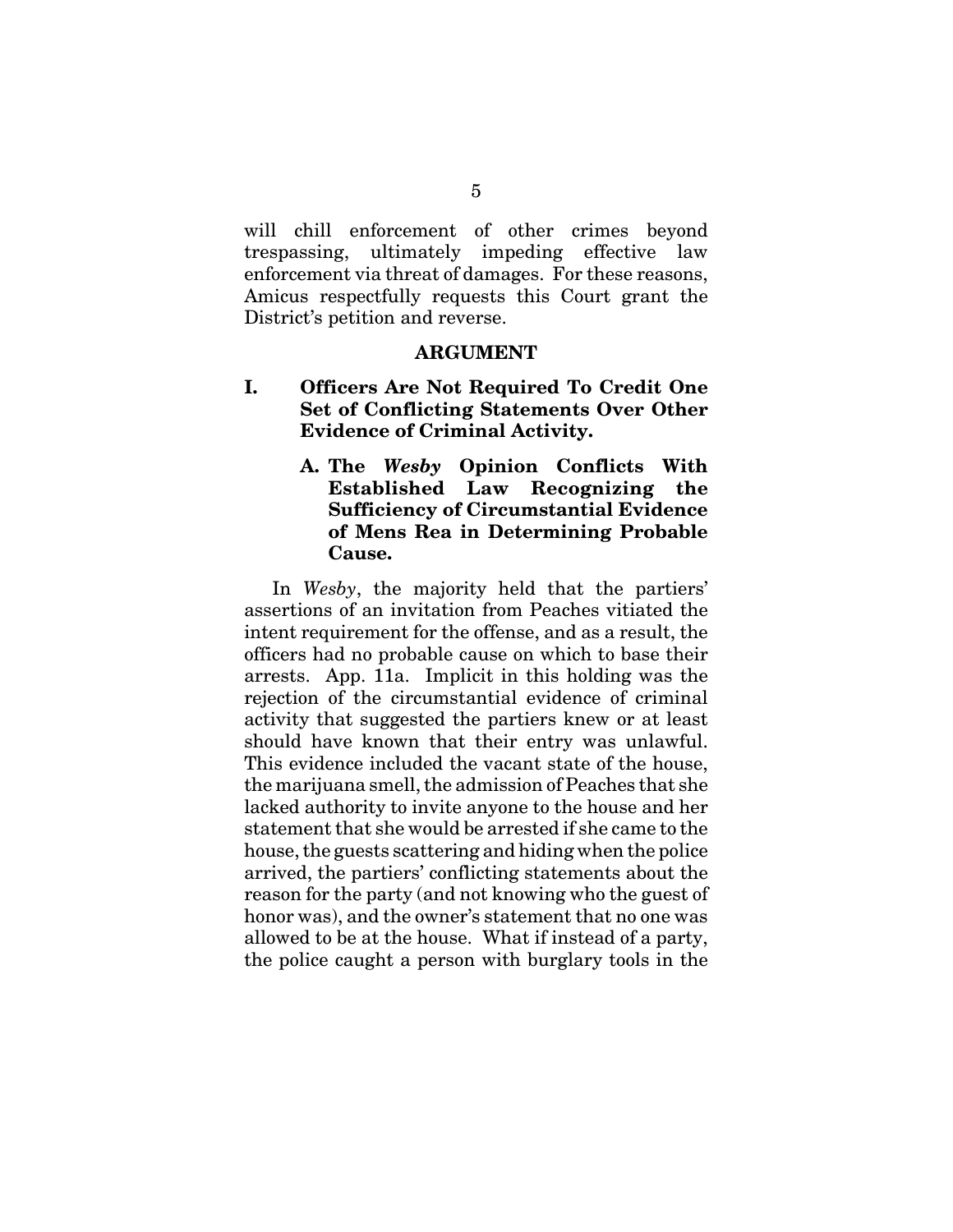will chill enforcement of other crimes beyond trespassing, ultimately impeding effective law enforcement via threat of damages. For these reasons, Amicus respectfully requests this Court grant the District's petition and reverse.

#### **ARGUMENT**

- **I. Officers Are Not Required To Credit One Set of Conflicting Statements Over Other Evidence of Criminal Activity.** 
	- **A. The** *Wesby* **Opinion Conflicts With Established Law Recognizing the Sufficiency of Circumstantial Evidence of Mens Rea in Determining Probable Cause.**

In *Wesby*, the majority held that the partiers' assertions of an invitation from Peaches vitiated the intent requirement for the offense, and as a result, the officers had no probable cause on which to base their arrests. App. 11a. Implicit in this holding was the rejection of the circumstantial evidence of criminal activity that suggested the partiers knew or at least should have known that their entry was unlawful. This evidence included the vacant state of the house, the marijuana smell, the admission of Peaches that she lacked authority to invite anyone to the house and her statement that she would be arrested if she came to the house, the guests scattering and hiding when the police arrived, the partiers' conflicting statements about the reason for the party (and not knowing who the guest of honor was), and the owner's statement that no one was allowed to be at the house. What if instead of a party, the police caught a person with burglary tools in the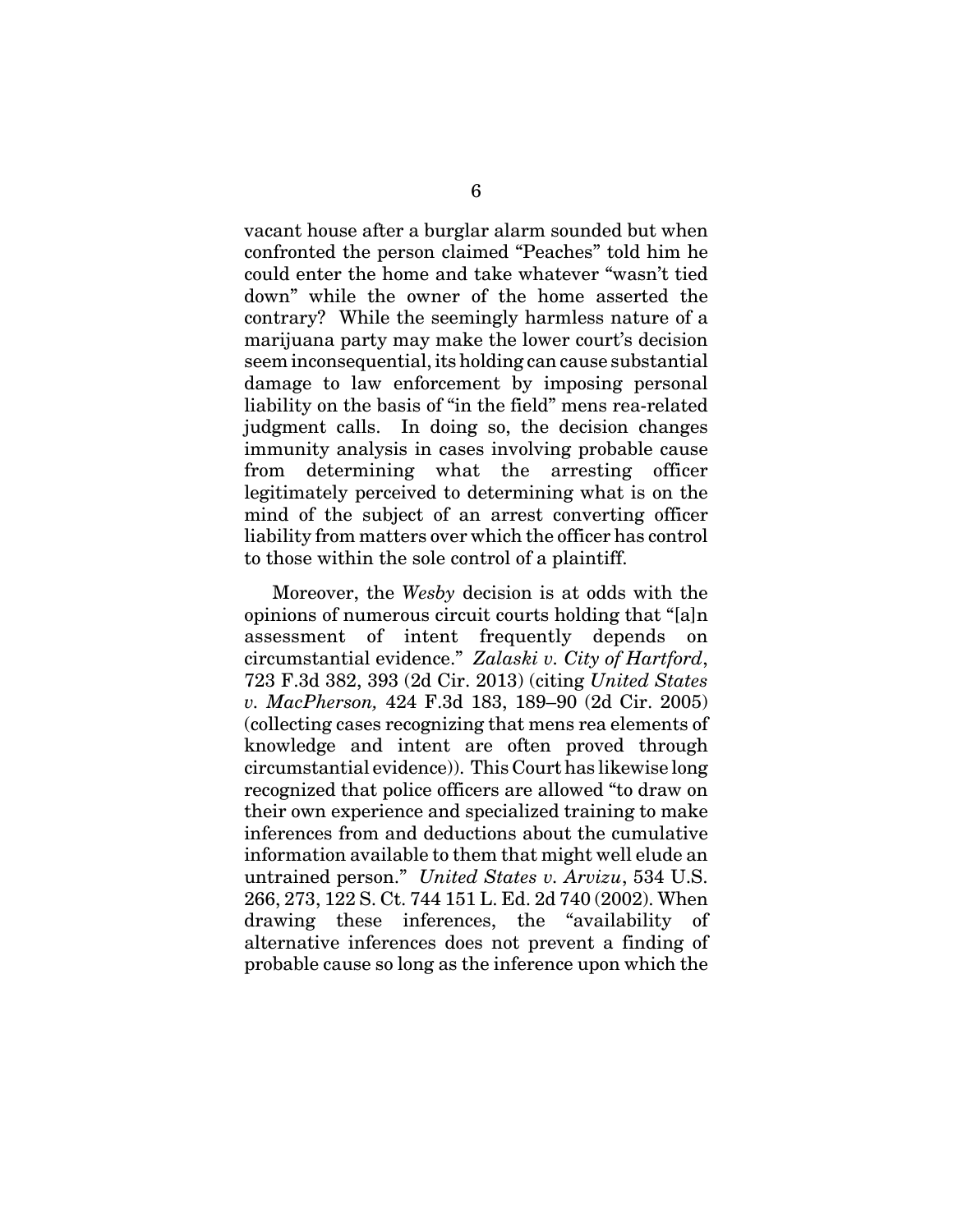vacant house after a burglar alarm sounded but when confronted the person claimed "Peaches" told him he could enter the home and take whatever "wasn't tied down" while the owner of the home asserted the contrary? While the seemingly harmless nature of a marijuana party may make the lower court's decision seem inconsequential, its holding can cause substantial damage to law enforcement by imposing personal liability on the basis of "in the field" mens rea-related judgment calls. In doing so, the decision changes immunity analysis in cases involving probable cause from determining what the arresting officer legitimately perceived to determining what is on the mind of the subject of an arrest converting officer liability from matters over which the officer has control to those within the sole control of a plaintiff.

Moreover, the *Wesby* decision is at odds with the opinions of numerous circuit courts holding that "[a]n assessment of intent frequently depends on circumstantial evidence." *Zalaski v. City of Hartford*, 723 F.3d 382, 393 (2d Cir. 2013) (citing *United States v. MacPherson,* 424 F.3d 183, 189–90 (2d Cir. 2005) (collecting cases recognizing that mens rea elements of knowledge and intent are often proved through circumstantial evidence)). This Court has likewise long recognized that police officers are allowed "to draw on their own experience and specialized training to make inferences from and deductions about the cumulative information available to them that might well elude an untrained person." *United States v. Arvizu*, 534 U.S. 266, 273, 122 S. Ct. 744 151 L. Ed. 2d 740 (2002). When drawing these inferences, the "availability of alternative inferences does not prevent a finding of probable cause so long as the inference upon which the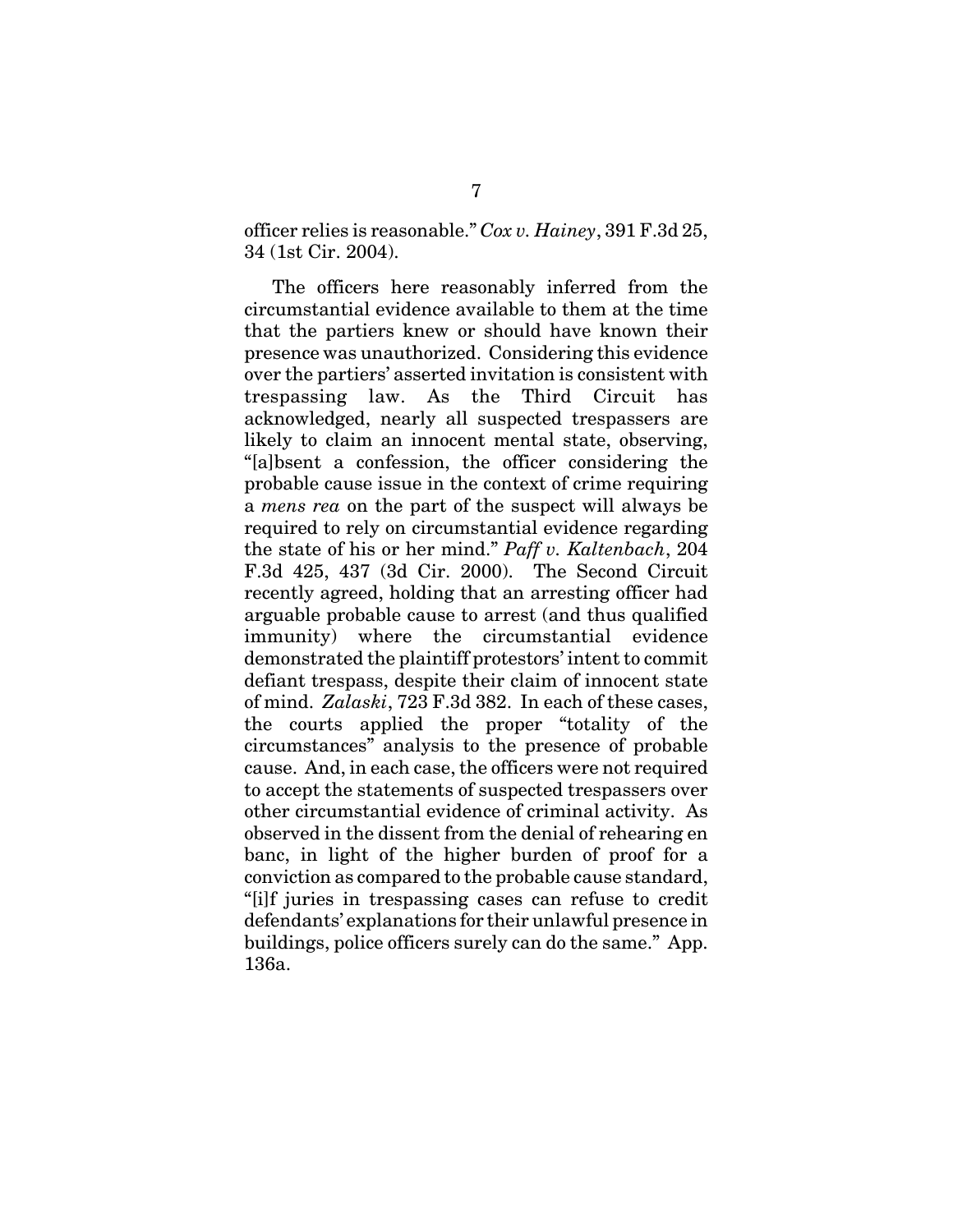officer relies is reasonable." *Cox v. Hainey*, 391 F.3d 25, 34 (1st Cir. 2004).

The officers here reasonably inferred from the circumstantial evidence available to them at the time that the partiers knew or should have known their presence was unauthorized. Considering this evidence over the partiers' asserted invitation is consistent with trespassing law. As the Third Circuit has acknowledged, nearly all suspected trespassers are likely to claim an innocent mental state, observing, "[a]bsent a confession, the officer considering the probable cause issue in the context of crime requiring a *mens rea* on the part of the suspect will always be required to rely on circumstantial evidence regarding the state of his or her mind." *Paff v. Kaltenbach*, 204 F.3d 425, 437 (3d Cir. 2000). The Second Circuit recently agreed, holding that an arresting officer had arguable probable cause to arrest (and thus qualified immunity) where the circumstantial evidence demonstrated the plaintiff protestors' intent to commit defiant trespass, despite their claim of innocent state of mind. *Zalaski*, 723 F.3d 382. In each of these cases, the courts applied the proper "totality of the circumstances" analysis to the presence of probable cause. And, in each case, the officers were not required to accept the statements of suspected trespassers over other circumstantial evidence of criminal activity. As observed in the dissent from the denial of rehearing en banc, in light of the higher burden of proof for a conviction as compared to the probable cause standard, "[i]f juries in trespassing cases can refuse to credit defendants' explanations for their unlawful presence in buildings, police officers surely can do the same." App. 136a.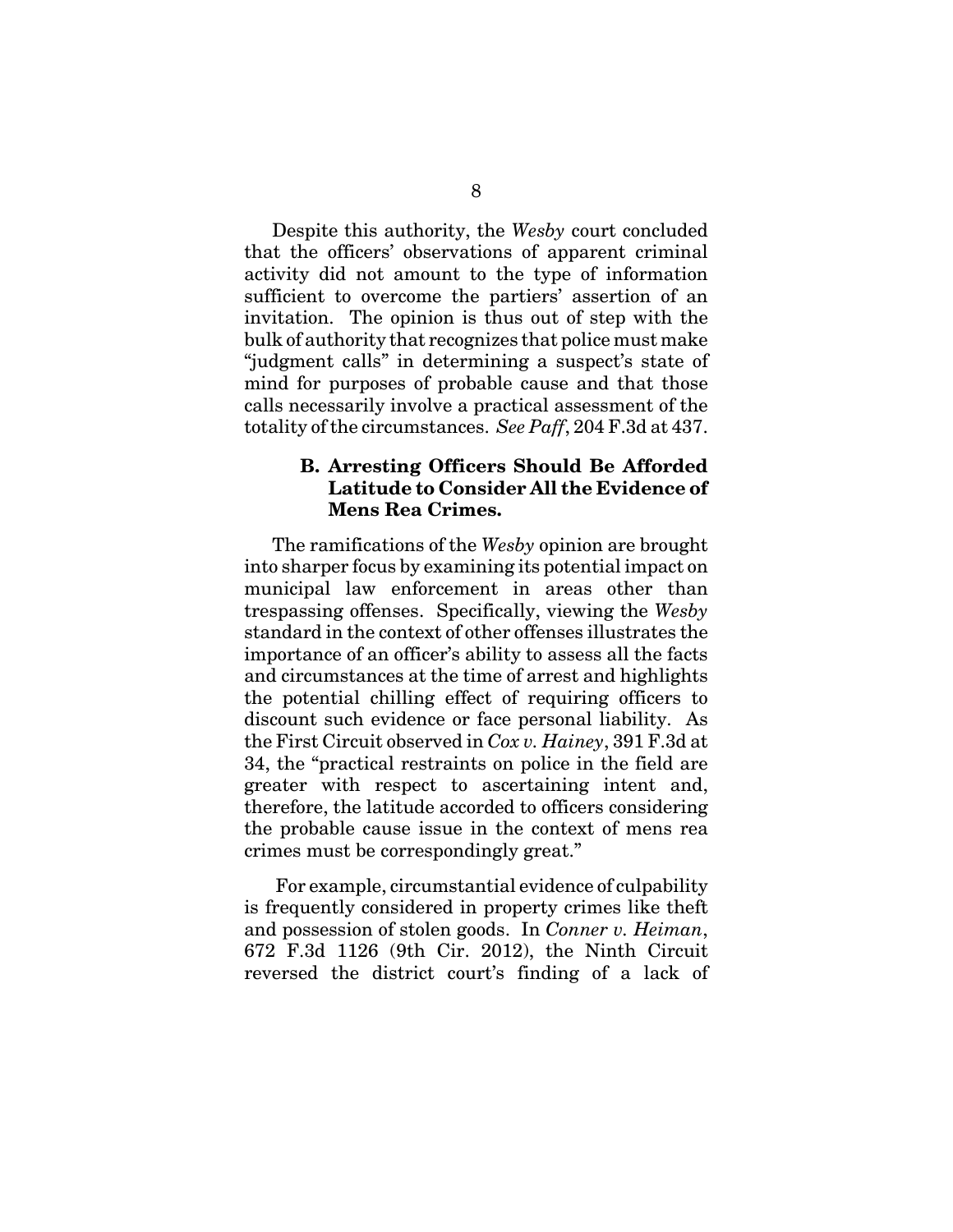Despite this authority, the *Wesby* court concluded that the officers' observations of apparent criminal activity did not amount to the type of information sufficient to overcome the partiers' assertion of an invitation. The opinion is thus out of step with the bulk of authority that recognizes that police must make "judgment calls" in determining a suspect's state of mind for purposes of probable cause and that those calls necessarily involve a practical assessment of the totality of the circumstances. *See Paff*, 204 F.3d at 437.

# **B. Arresting Officers Should Be Afforded Latitude to Consider All the Evidence of Mens Rea Crimes.**

The ramifications of the *Wesby* opinion are brought into sharper focus by examining its potential impact on municipal law enforcement in areas other than trespassing offenses. Specifically, viewing the *Wesby* standard in the context of other offenses illustrates the importance of an officer's ability to assess all the facts and circumstances at the time of arrest and highlights the potential chilling effect of requiring officers to discount such evidence or face personal liability. As the First Circuit observed in *Cox v. Hainey*, 391 F.3d at 34, the "practical restraints on police in the field are greater with respect to ascertaining intent and, therefore, the latitude accorded to officers considering the probable cause issue in the context of mens rea crimes must be correspondingly great."

 For example, circumstantial evidence of culpability is frequently considered in property crimes like theft and possession of stolen goods. In *Conner v. Heiman*, 672 F.3d 1126 (9th Cir. 2012), the Ninth Circuit reversed the district court's finding of a lack of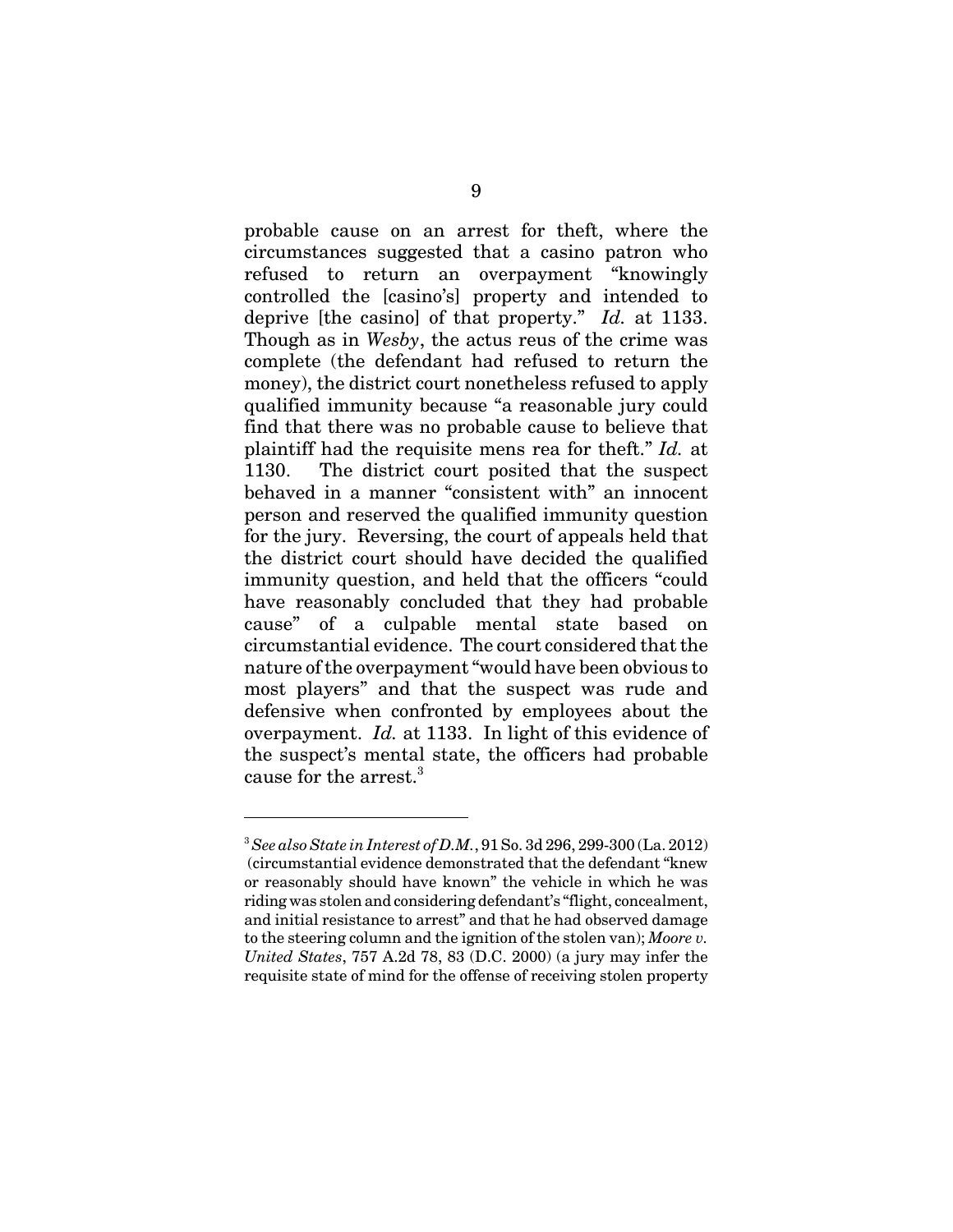probable cause on an arrest for theft, where the circumstances suggested that a casino patron who refused to return an overpayment "knowingly controlled the [casino's] property and intended to deprive [the casino] of that property." *Id.* at 1133. Though as in *Wesby*, the actus reus of the crime was complete (the defendant had refused to return the money), the district court nonetheless refused to apply qualified immunity because "a reasonable jury could find that there was no probable cause to believe that plaintiff had the requisite mens rea for theft." *Id.* at 1130. The district court posited that the suspect behaved in a manner "consistent with" an innocent person and reserved the qualified immunity question for the jury. Reversing, the court of appeals held that the district court should have decided the qualified immunity question, and held that the officers "could have reasonably concluded that they had probable cause" of a culpable mental state based on circumstantial evidence. The court considered that the nature of the overpayment "would have been obvious to most players" and that the suspect was rude and defensive when confronted by employees about the overpayment. *Id.* at 1133. In light of this evidence of the suspect's mental state, the officers had probable cause for the arrest.<sup>3</sup>

<sup>3</sup> *See also State in Interest of D.M.*, 91 So. 3d 296, 299-300 (La. 2012) (circumstantial evidence demonstrated that the defendant "knew or reasonably should have known" the vehicle in which he was riding was stolen and considering defendant's "flight, concealment, and initial resistance to arrest" and that he had observed damage to the steering column and the ignition of the stolen van); *Moore v. United States*, 757 A.2d 78, 83 (D.C. 2000) (a jury may infer the requisite state of mind for the offense of receiving stolen property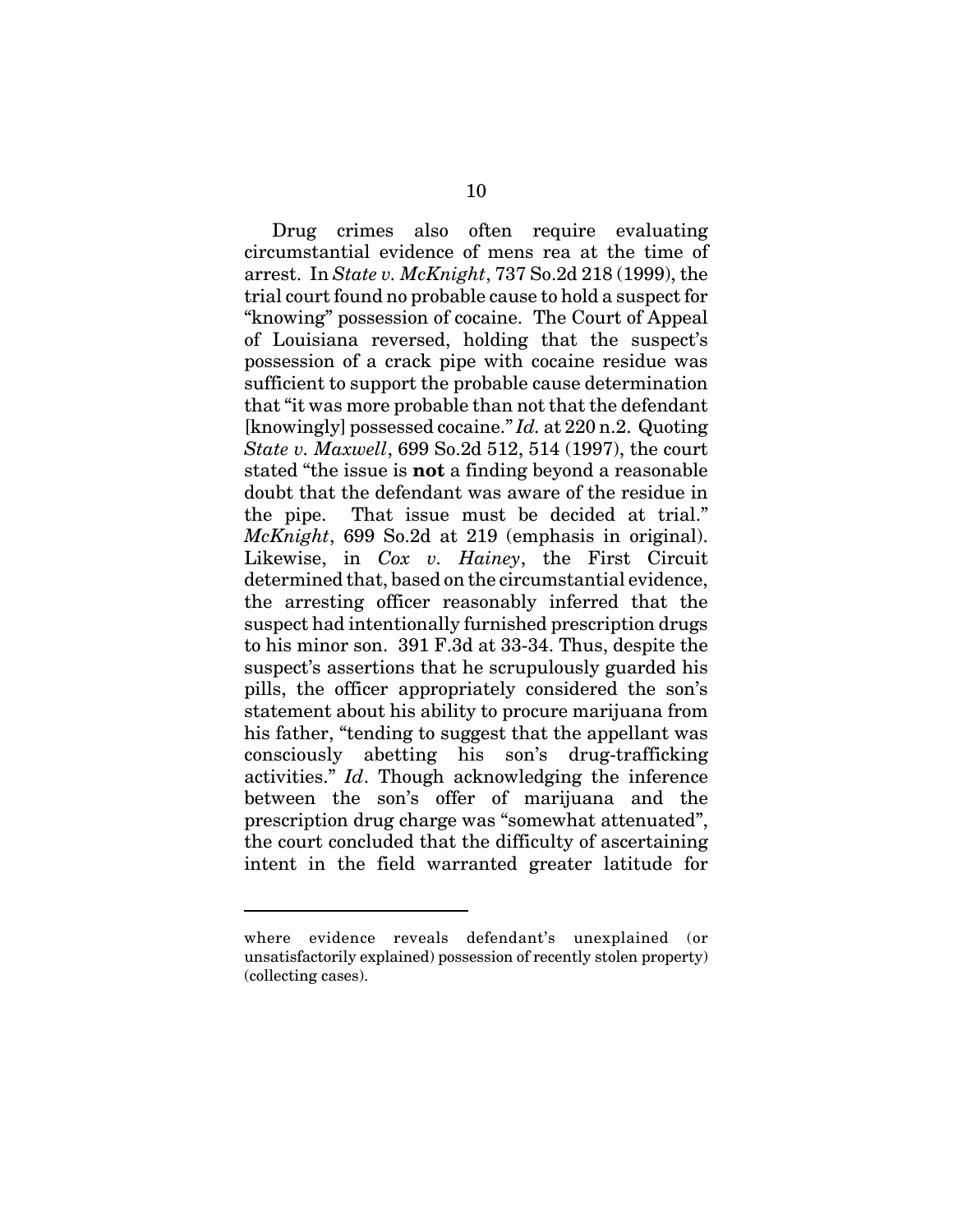Drug crimes also often require evaluating circumstantial evidence of mens rea at the time of arrest. In *State v. McKnight*, 737 So.2d 218 (1999), the trial court found no probable cause to hold a suspect for "knowing" possession of cocaine. The Court of Appeal of Louisiana reversed, holding that the suspect's possession of a crack pipe with cocaine residue was sufficient to support the probable cause determination that "it was more probable than not that the defendant [knowingly] possessed cocaine." *Id.* at 220 n.2. Quoting *State v. Maxwell*, 699 So.2d 512, 514 (1997), the court stated "the issue is **not** a finding beyond a reasonable doubt that the defendant was aware of the residue in the pipe. That issue must be decided at trial." *McKnight*, 699 So.2d at 219 (emphasis in original). Likewise, in *Cox v. Hainey*, the First Circuit determined that, based on the circumstantial evidence, the arresting officer reasonably inferred that the suspect had intentionally furnished prescription drugs to his minor son. 391 F.3d at 33-34. Thus, despite the suspect's assertions that he scrupulously guarded his pills, the officer appropriately considered the son's statement about his ability to procure marijuana from his father, "tending to suggest that the appellant was consciously abetting his son's drug-trafficking activities." *Id*. Though acknowledging the inference between the son's offer of marijuana and the prescription drug charge was "somewhat attenuated", the court concluded that the difficulty of ascertaining intent in the field warranted greater latitude for

where evidence reveals defendant's unexplained (or unsatisfactorily explained) possession of recently stolen property) (collecting cases).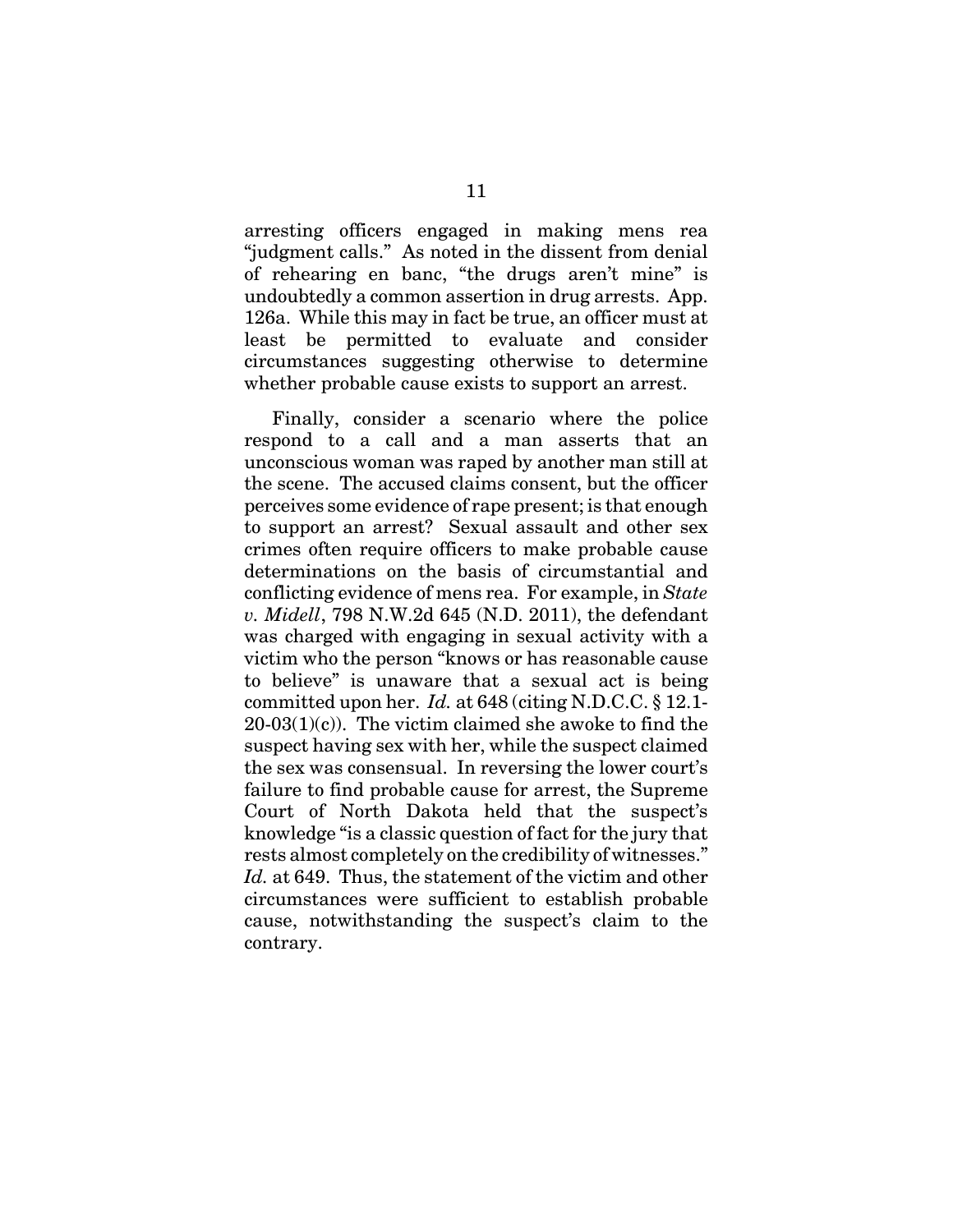arresting officers engaged in making mens rea "judgment calls." As noted in the dissent from denial of rehearing en banc, "the drugs aren't mine" is undoubtedly a common assertion in drug arrests. App. 126a. While this may in fact be true, an officer must at least be permitted to evaluate and consider circumstances suggesting otherwise to determine whether probable cause exists to support an arrest.

Finally, consider a scenario where the police respond to a call and a man asserts that an unconscious woman was raped by another man still at the scene. The accused claims consent, but the officer perceives some evidence of rape present; is that enough to support an arrest? Sexual assault and other sex crimes often require officers to make probable cause determinations on the basis of circumstantial and conflicting evidence of mens rea. For example, in *State v. Midell*, 798 N.W.2d 645 (N.D. 2011), the defendant was charged with engaging in sexual activity with a victim who the person "knows or has reasonable cause to believe" is unaware that a sexual act is being committed upon her. *Id.* at 648 (citing N.D.C.C. § 12.1-  $20-03(1)(c)$ . The victim claimed she awoke to find the suspect having sex with her, while the suspect claimed the sex was consensual. In reversing the lower court's failure to find probable cause for arrest, the Supreme Court of North Dakota held that the suspect's knowledge "is a classic question of fact for the jury that rests almost completely on the credibility of witnesses." *Id.* at 649. Thus, the statement of the victim and other circumstances were sufficient to establish probable cause, notwithstanding the suspect's claim to the contrary.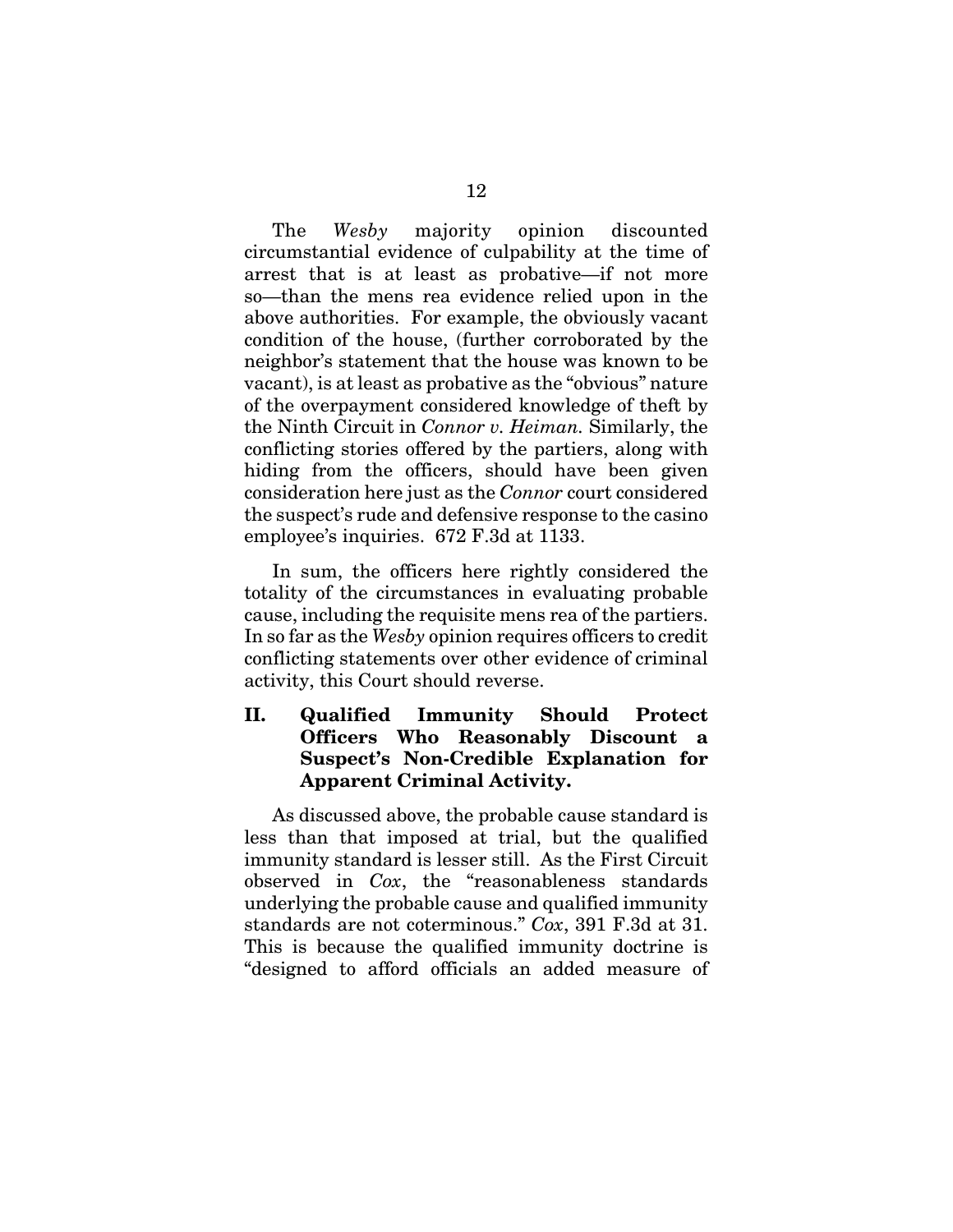The *Wesby* majority opinion discounted circumstantial evidence of culpability at the time of arrest that is at least as probative—if not more so—than the mens rea evidence relied upon in the above authorities. For example, the obviously vacant condition of the house, (further corroborated by the neighbor's statement that the house was known to be vacant), is at least as probative as the "obvious" nature of the overpayment considered knowledge of theft by the Ninth Circuit in *Connor v. Heiman.* Similarly, the conflicting stories offered by the partiers, along with hiding from the officers, should have been given consideration here just as the *Connor* court considered the suspect's rude and defensive response to the casino employee's inquiries. 672 F.3d at 1133.

In sum, the officers here rightly considered the totality of the circumstances in evaluating probable cause, including the requisite mens rea of the partiers. In so far as the *Wesby* opinion requires officers to credit conflicting statements over other evidence of criminal activity, this Court should reverse.

# **II. Qualified Immunity Should Protect Officers Who Reasonably Discount a Suspect's Non-Credible Explanation for Apparent Criminal Activity.**

As discussed above, the probable cause standard is less than that imposed at trial, but the qualified immunity standard is lesser still. As the First Circuit observed in *Cox*, the "reasonableness standards underlying the probable cause and qualified immunity standards are not coterminous." *Cox*, 391 F.3d at 31. This is because the qualified immunity doctrine is "designed to afford officials an added measure of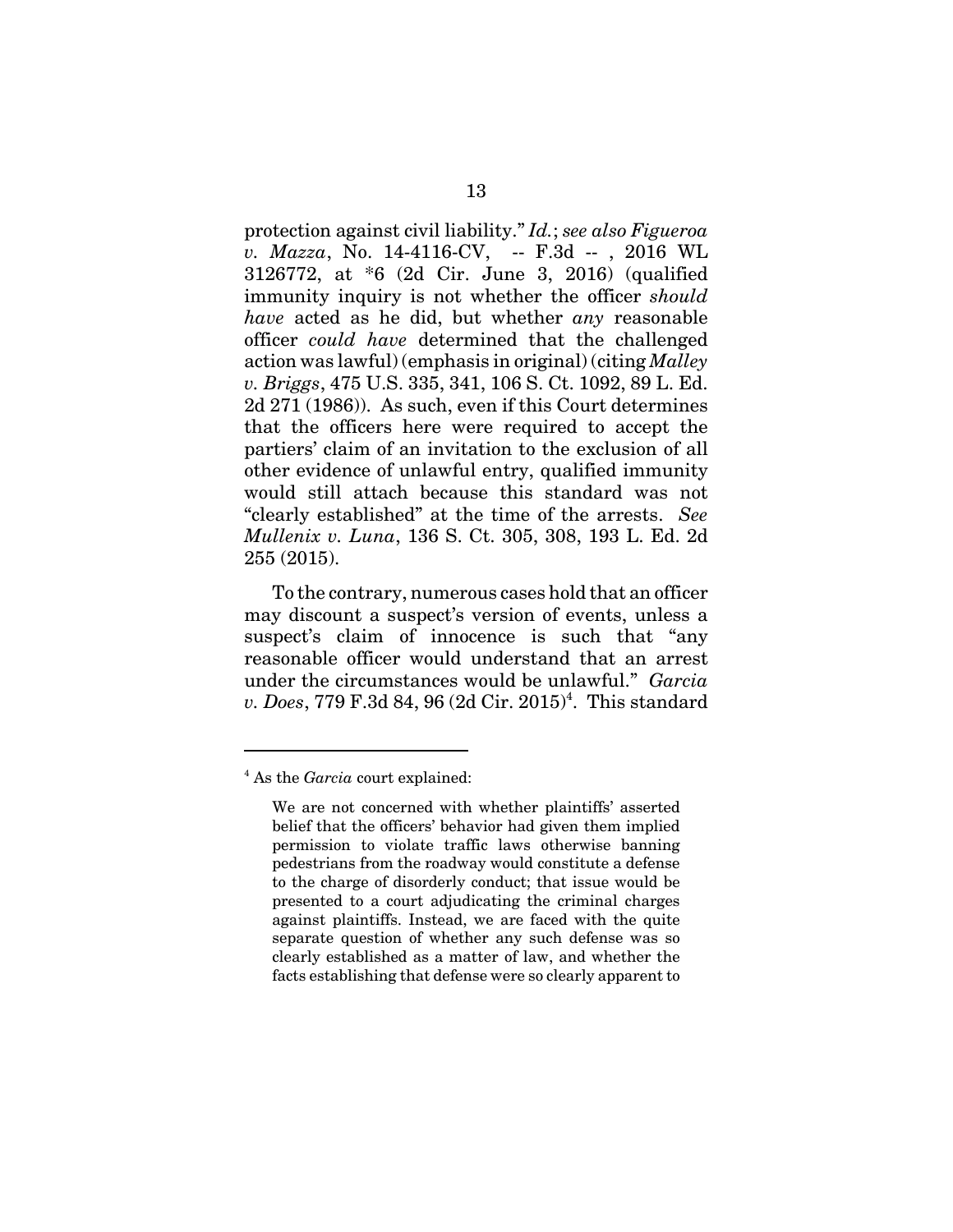protection against civil liability." *Id.*; *see also Figueroa v. Mazza*, No. 14-4116-CV, -- F.3d -- , 2016 WL 3126772, at \*6 (2d Cir. June 3, 2016) (qualified immunity inquiry is not whether the officer *should have* acted as he did, but whether *any* reasonable officer *could have* determined that the challenged action was lawful) (emphasis in original) (citing *Malley v. Briggs*, 475 U.S. 335, 341, 106 S. Ct. 1092, 89 L. Ed. 2d 271 (1986)). As such, even if this Court determines that the officers here were required to accept the partiers' claim of an invitation to the exclusion of all other evidence of unlawful entry, qualified immunity would still attach because this standard was not "clearly established" at the time of the arrests. *See Mullenix v. Luna*, 136 S. Ct. 305, 308, 193 L. Ed. 2d 255 (2015).

To the contrary, numerous cases hold that an officer may discount a suspect's version of events, unless a suspect's claim of innocence is such that "any reasonable officer would understand that an arrest under the circumstances would be unlawful." *Garcia* v. Does, 779 F.3d 84, 96 (2d Cir. 2015)<sup>4</sup>. This standard

<sup>4</sup> As the *Garcia* court explained:

We are not concerned with whether plaintiffs' asserted belief that the officers' behavior had given them implied permission to violate traffic laws otherwise banning pedestrians from the roadway would constitute a defense to the charge of disorderly conduct; that issue would be presented to a court adjudicating the criminal charges against plaintiffs. Instead, we are faced with the quite separate question of whether any such defense was so clearly established as a matter of law, and whether the facts establishing that defense were so clearly apparent to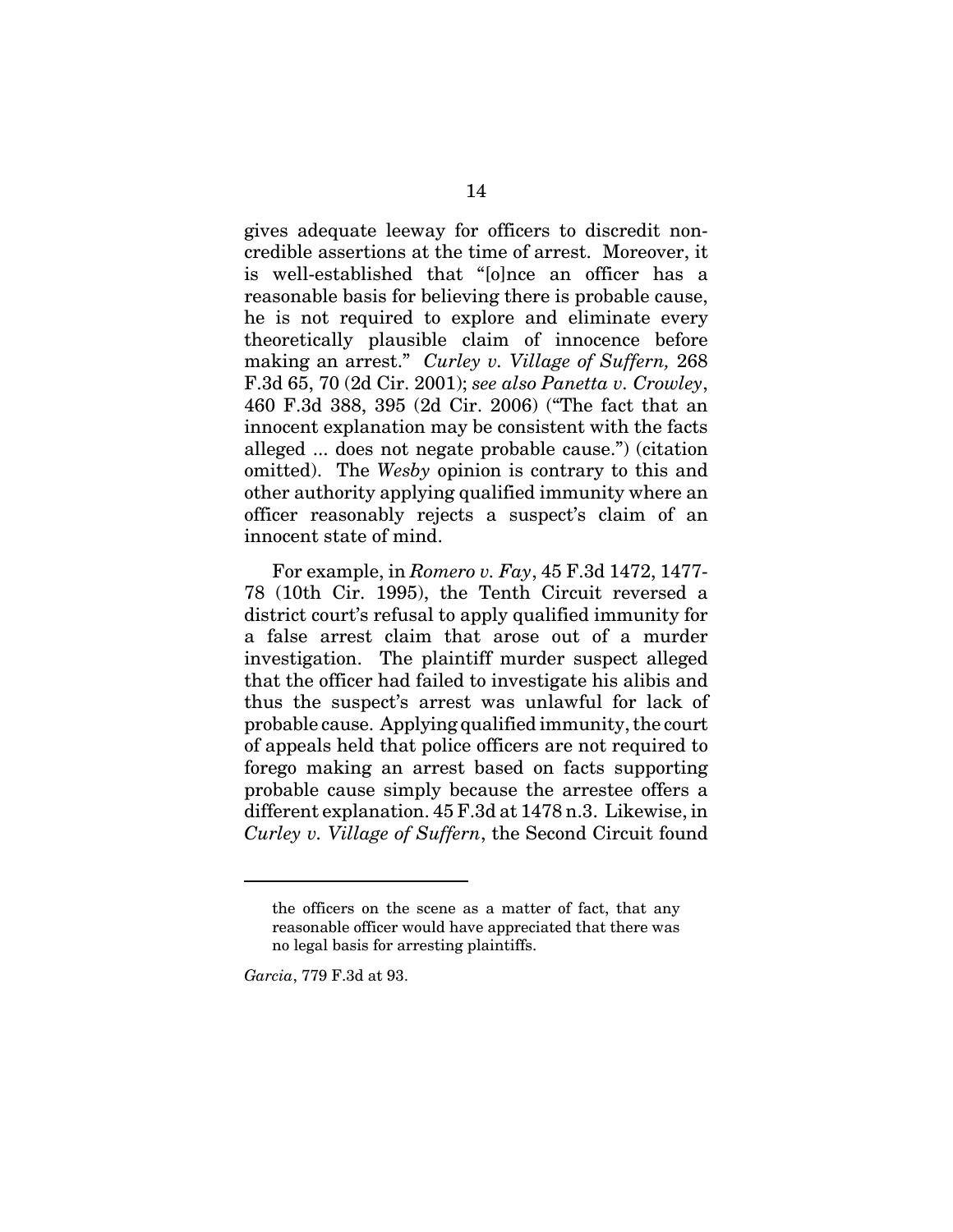gives adequate leeway for officers to discredit noncredible assertions at the time of arrest. Moreover, it is well-established that "[o]nce an officer has a reasonable basis for believing there is probable cause, he is not required to explore and eliminate every theoretically plausible claim of innocence before making an arrest." *Curley v. Village of Suffern,* 268 F.3d 65, 70 (2d Cir. 2001); *see also Panetta v. Crowley*, 460 F.3d 388, 395 (2d Cir. 2006) ("The fact that an innocent explanation may be consistent with the facts alleged ... does not negate probable cause.") (citation omitted). The *Wesby* opinion is contrary to this and other authority applying qualified immunity where an officer reasonably rejects a suspect's claim of an innocent state of mind.

For example, in *Romero v. Fay*, 45 F.3d 1472, 1477- 78 (10th Cir. 1995), the Tenth Circuit reversed a district court's refusal to apply qualified immunity for a false arrest claim that arose out of a murder investigation. The plaintiff murder suspect alleged that the officer had failed to investigate his alibis and thus the suspect's arrest was unlawful for lack of probable cause. Applying qualified immunity, the court of appeals held that police officers are not required to forego making an arrest based on facts supporting probable cause simply because the arrestee offers a different explanation. 45 F.3d at 1478 n.3. Likewise, in *Curley v. Village of Suffern*, the Second Circuit found

*Garcia*, 779 F.3d at 93.

the officers on the scene as a matter of fact, that any reasonable officer would have appreciated that there was no legal basis for arresting plaintiffs.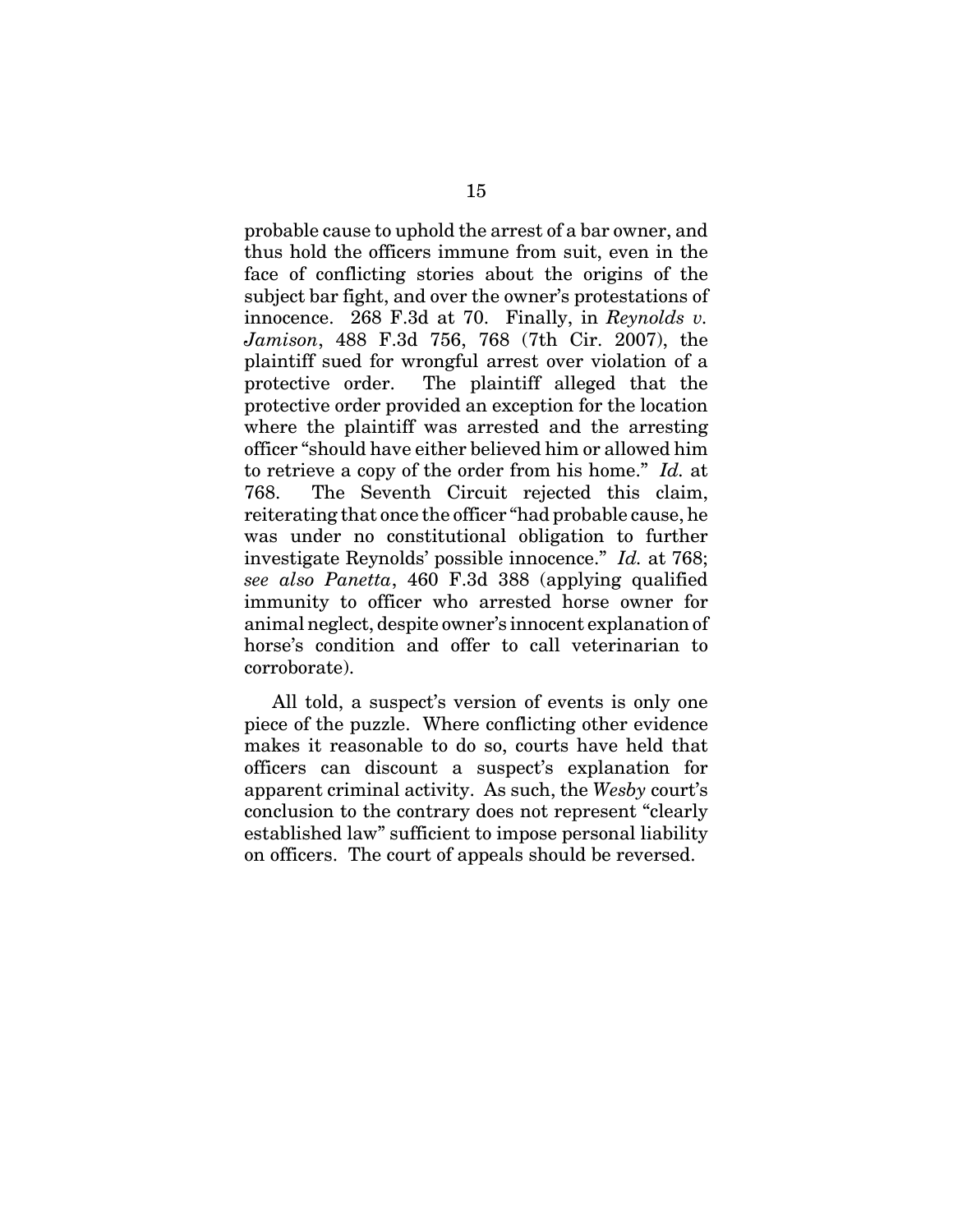probable cause to uphold the arrest of a bar owner, and thus hold the officers immune from suit, even in the face of conflicting stories about the origins of the subject bar fight, and over the owner's protestations of innocence. 268 F.3d at 70. Finally, in *Reynolds v. Jamison*, 488 F.3d 756, 768 (7th Cir. 2007), the plaintiff sued for wrongful arrest over violation of a protective order. The plaintiff alleged that the protective order provided an exception for the location where the plaintiff was arrested and the arresting officer "should have either believed him or allowed him to retrieve a copy of the order from his home." *Id.* at 768. The Seventh Circuit rejected this claim, reiterating that once the officer "had probable cause, he was under no constitutional obligation to further investigate Reynolds' possible innocence." *Id.* at 768; *see also Panetta*, 460 F.3d 388 (applying qualified immunity to officer who arrested horse owner for animal neglect, despite owner's innocent explanation of horse's condition and offer to call veterinarian to corroborate).

All told, a suspect's version of events is only one piece of the puzzle. Where conflicting other evidence makes it reasonable to do so, courts have held that officers can discount a suspect's explanation for apparent criminal activity. As such, the *Wesby* court's conclusion to the contrary does not represent "clearly established law" sufficient to impose personal liability on officers. The court of appeals should be reversed.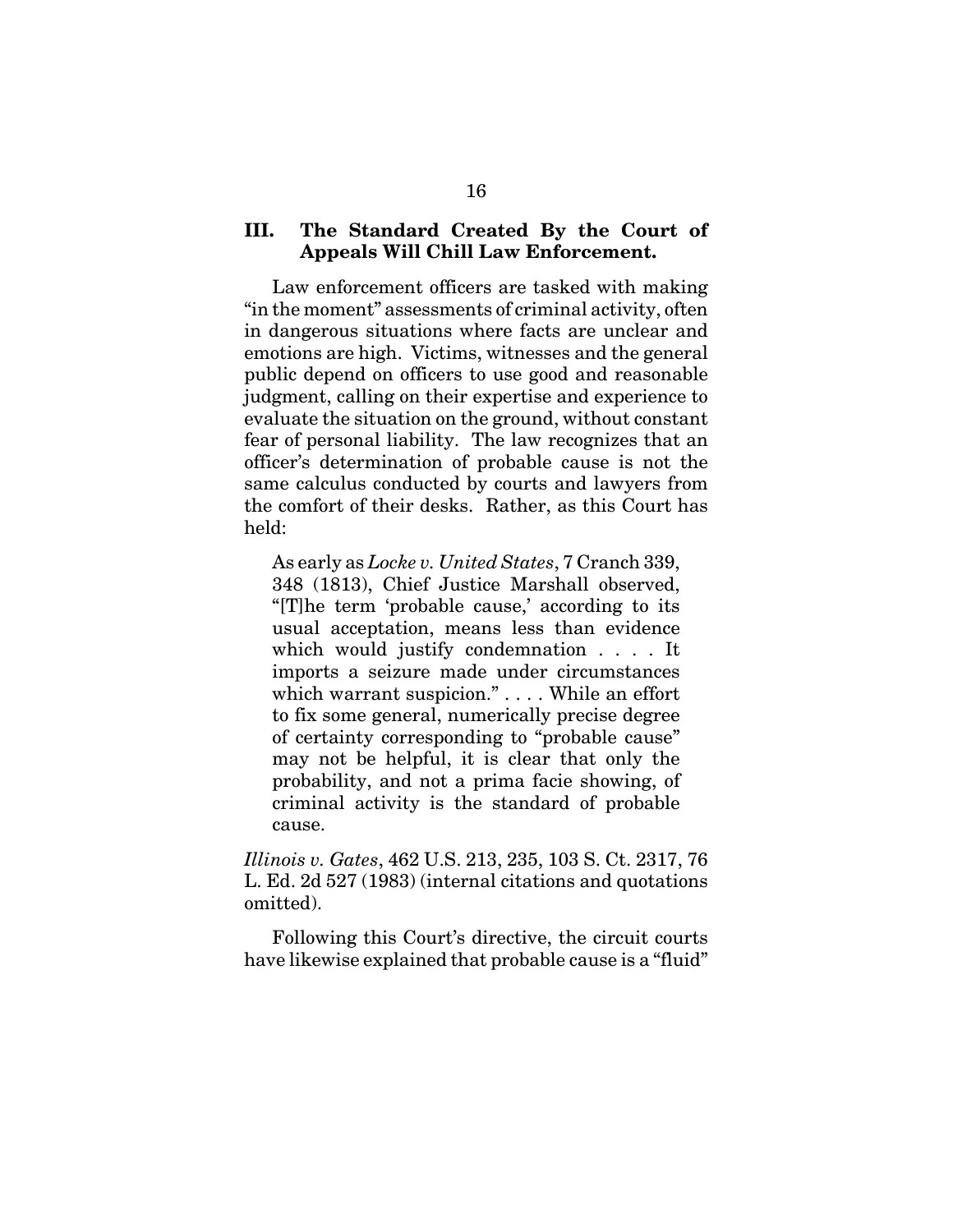### **III. The Standard Created By the Court of Appeals Will Chill Law Enforcement.**

Law enforcement officers are tasked with making "in the moment" assessments of criminal activity, often in dangerous situations where facts are unclear and emotions are high. Victims, witnesses and the general public depend on officers to use good and reasonable judgment, calling on their expertise and experience to evaluate the situation on the ground, without constant fear of personal liability. The law recognizes that an officer's determination of probable cause is not the same calculus conducted by courts and lawyers from the comfort of their desks. Rather, as this Court has held:

As early as *Locke v. United States*, 7 Cranch 339, 348 (1813), Chief Justice Marshall observed, "[T]he term 'probable cause,' according to its usual acceptation, means less than evidence which would justify condemnation . . . . It imports a seizure made under circumstances which warrant suspicion." . . . . While an effort to fix some general, numerically precise degree of certainty corresponding to "probable cause" may not be helpful, it is clear that only the probability, and not a prima facie showing, of criminal activity is the standard of probable cause.

*Illinois v. Gates*, 462 U.S. 213, 235, 103 S. Ct. 2317, 76 L. Ed. 2d 527 (1983) (internal citations and quotations omitted).

Following this Court's directive, the circuit courts have likewise explained that probable cause is a "fluid"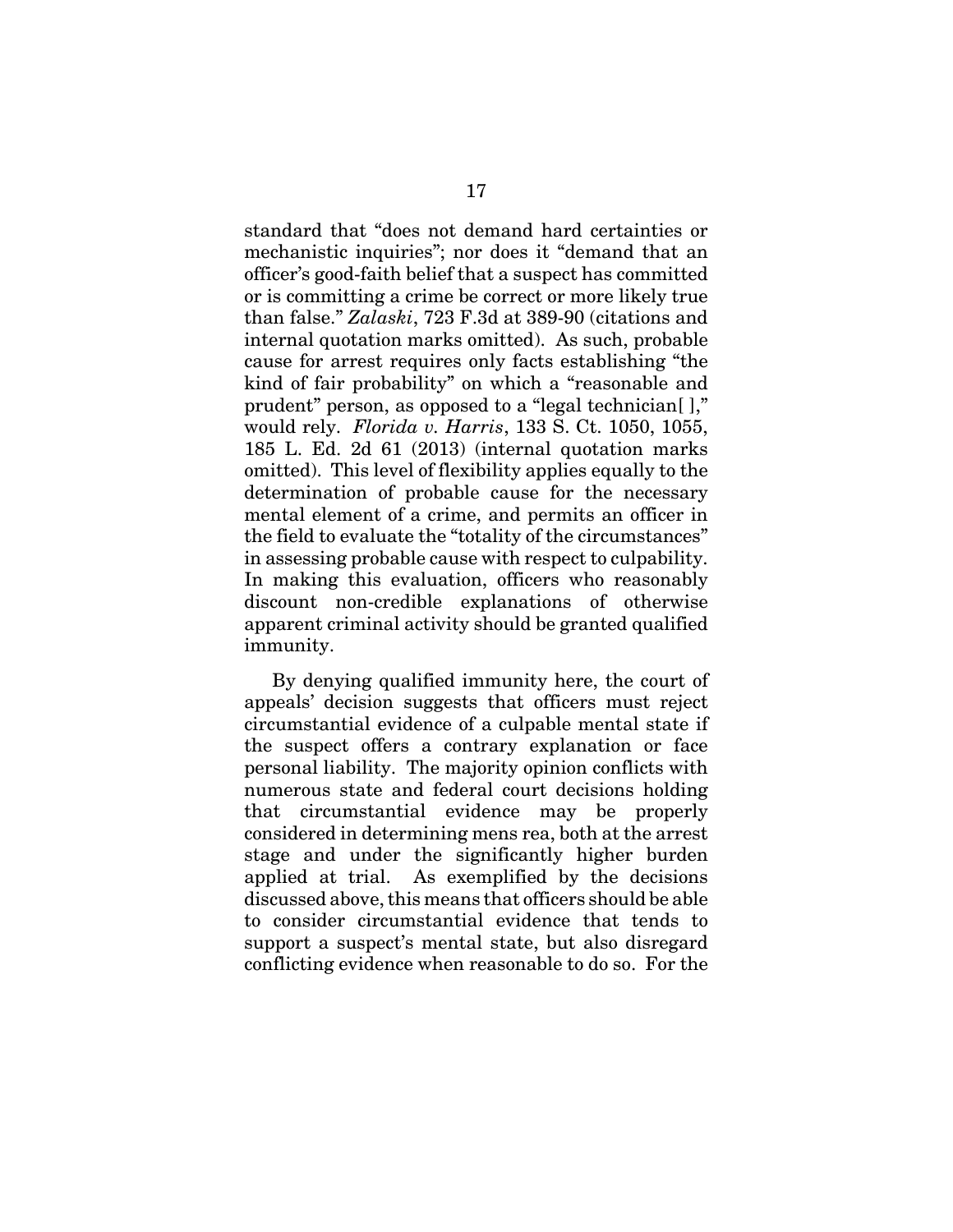standard that "does not demand hard certainties or mechanistic inquiries"; nor does it "demand that an officer's good-faith belief that a suspect has committed or is committing a crime be correct or more likely true than false." *Zalaski*, 723 F.3d at 389-90 (citations and internal quotation marks omitted). As such, probable cause for arrest requires only facts establishing "the kind of fair probability" on which a "reasonable and prudent" person, as opposed to a "legal technician[ ]," would rely. *Florida v. Harris*, 133 S. Ct. 1050, 1055, 185 L. Ed. 2d 61 (2013) (internal quotation marks omitted). This level of flexibility applies equally to the determination of probable cause for the necessary mental element of a crime, and permits an officer in the field to evaluate the "totality of the circumstances" in assessing probable cause with respect to culpability. In making this evaluation, officers who reasonably discount non-credible explanations of otherwise apparent criminal activity should be granted qualified immunity.

By denying qualified immunity here, the court of appeals' decision suggests that officers must reject circumstantial evidence of a culpable mental state if the suspect offers a contrary explanation or face personal liability. The majority opinion conflicts with numerous state and federal court decisions holding that circumstantial evidence may be properly considered in determining mens rea, both at the arrest stage and under the significantly higher burden applied at trial. As exemplified by the decisions discussed above, this means that officers should be able to consider circumstantial evidence that tends to support a suspect's mental state, but also disregard conflicting evidence when reasonable to do so. For the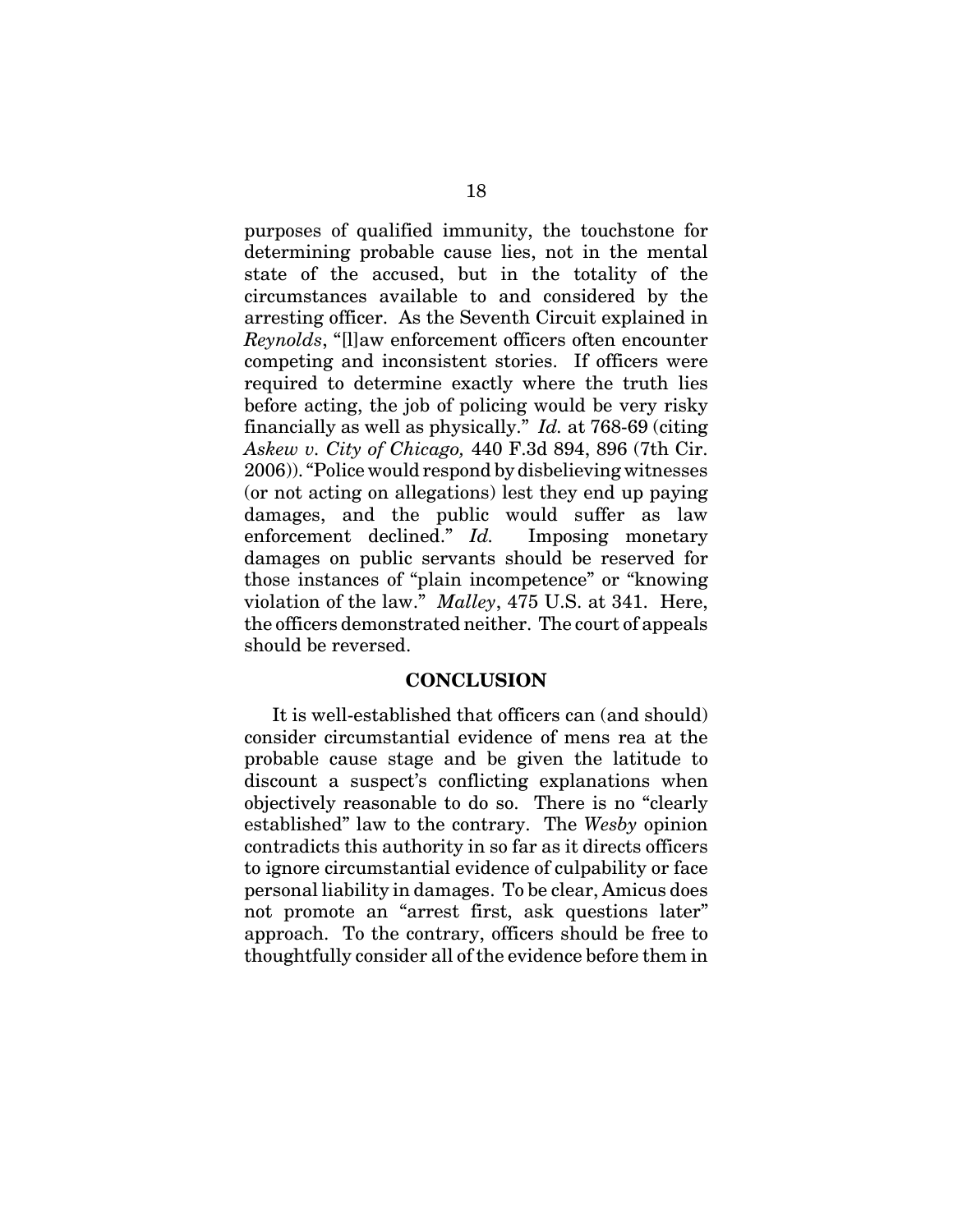purposes of qualified immunity, the touchstone for determining probable cause lies, not in the mental state of the accused, but in the totality of the circumstances available to and considered by the arresting officer. As the Seventh Circuit explained in *Reynolds*, "[l]aw enforcement officers often encounter competing and inconsistent stories. If officers were required to determine exactly where the truth lies before acting, the job of policing would be very risky financially as well as physically." *Id.* at 768-69 (citing *Askew v. City of Chicago,* 440 F.3d 894, 896 (7th Cir. 2006)). "Police would respond by disbelieving witnesses (or not acting on allegations) lest they end up paying damages, and the public would suffer as law enforcement declined." *Id.* Imposing monetary damages on public servants should be reserved for those instances of "plain incompetence" or "knowing violation of the law." *Malley*, 475 U.S. at 341. Here, the officers demonstrated neither. The court of appeals should be reversed.

#### **CONCLUSION**

It is well-established that officers can (and should) consider circumstantial evidence of mens rea at the probable cause stage and be given the latitude to discount a suspect's conflicting explanations when objectively reasonable to do so. There is no "clearly established" law to the contrary. The *Wesby* opinion contradicts this authority in so far as it directs officers to ignore circumstantial evidence of culpability or face personal liability in damages. To be clear, Amicus does not promote an "arrest first, ask questions later" approach. To the contrary, officers should be free to thoughtfully consider all of the evidence before them in